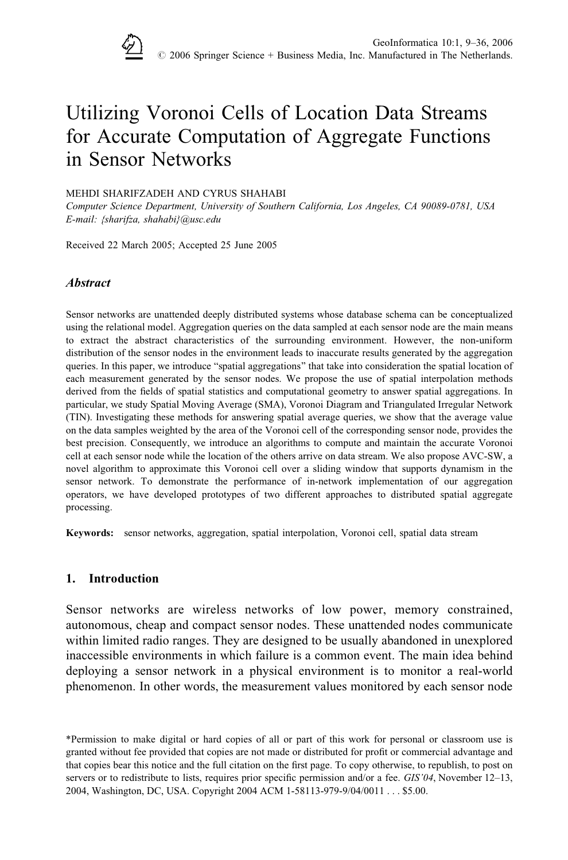

# Utilizing Voronoi Cells of Location Data Streams for Accurate Computation of Aggregate Functions in Sensor Networks

#### MEHDI SHARIFZADEH AND CYRUS SHAHABI

Computer Science Department, University of Southern California, Los Angeles, CA 90089-0781, USA E-mail: {sharifza, shahabi}@usc.edu

Received 22 March 2005; Accepted 25 June 2005

## **Abstract**

Sensor networks are unattended deeply distributed systems whose database schema can be conceptualized using the relational model. Aggregation queries on the data sampled at each sensor node are the main means to extract the abstract characteristics of the surrounding environment. However, the non-uniform distribution of the sensor nodes in the environment leads to inaccurate results generated by the aggregation queries. In this paper, we introduce "spatial aggregations" that take into consideration the spatial location of each measurement generated by the sensor nodes. We propose the use of spatial interpolation methods derived from the fields of spatial statistics and computational geometry to answer spatial aggregations. In particular, we study Spatial Moving Average (SMA), Voronoi Diagram and Triangulated Irregular Network (TIN). Investigating these methods for answering spatial average queries, we show that the average value on the data samples weighted by the area of the Voronoi cell of the corresponding sensor node, provides the best precision. Consequently, we introduce an algorithms to compute and maintain the accurate Voronoi cell at each sensor node while the location of the others arrive on data stream. We also propose AVC-SW, a novel algorithm to approximate this Voronoi cell over a sliding window that supports dynamism in the sensor network. To demonstrate the performance of in-network implementation of our aggregation operators, we have developed prototypes of two different approaches to distributed spatial aggregate processing.

Keywords: sensor networks, aggregation, spatial interpolation, Voronoi cell, spatial data stream

# 1. Introduction

Sensor networks are wireless networks of low power, memory constrained, autonomous, cheap and compact sensor nodes. These unattended nodes communicate within limited radio ranges. They are designed to be usually abandoned in unexplored inaccessible environments in which failure is a common event. The main idea behind deploying a sensor network in a physical environment is to monitor a real-world phenomenon. In other words, the measurement values monitored by each sensor node

<sup>\*</sup>Permission to make digital or hard copies of all or part of this work for personal or classroom use is granted without fee provided that copies are not made or distributed for profit or commercial advantage and that copies bear this notice and the full citation on the first page. To copy otherwise, to republish, to post on servers or to redistribute to lists, requires prior specific permission and/or a fee. GIS'04, November 12–13, 2004, Washington, DC, USA. Copyright 2004 ACM 1-58113-979-9/04/0011 . . . \$5.00.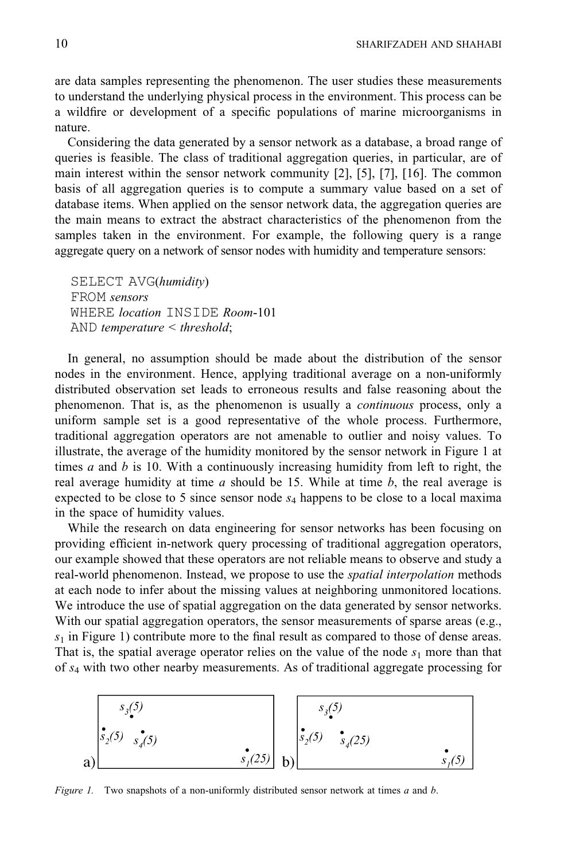are data samples representing the phenomenon. The user studies these measurements to understand the underlying physical process in the environment. This process can be a wildfire or development of a specific populations of marine microorganisms in nature.

Considering the data generated by a sensor network as a database, a broad range of queries is feasible. The class of traditional aggregation queries, in particular, are of main interest within the sensor network community [2], [5], [7], [16]. The common basis of all aggregation queries is to compute a summary value based on a set of database items. When applied on the sensor network data, the aggregation queries are the main means to extract the abstract characteristics of the phenomenon from the samples taken in the environment. For example, the following query is a range aggregate query on a network of sensor nodes with humidity and temperature sensors:

SELECT AVG(humidity) FROM sensors WHERE location INSIDE Room-101 AND temperature  $\leq$  threshold;

In general, no assumption should be made about the distribution of the sensor nodes in the environment. Hence, applying traditional average on a non-uniformly distributed observation set leads to erroneous results and false reasoning about the phenomenon. That is, as the phenomenon is usually a *continuous* process, only a uniform sample set is a good representative of the whole process. Furthermore, traditional aggregation operators are not amenable to outlier and noisy values. To illustrate, the average of the humidity monitored by the sensor network in Figure 1 at times a and b is 10. With a continuously increasing humidity from left to right, the real average humidity at time  $a$  should be 15. While at time  $b$ , the real average is expected to be close to 5 since sensor node  $s_4$  happens to be close to a local maxima in the space of humidity values.

While the research on data engineering for sensor networks has been focusing on providing efficient in-network query processing of traditional aggregation operators, our example showed that these operators are not reliable means to observe and study a real-world phenomenon. Instead, we propose to use the *spatial interpolation* methods at each node to infer about the missing values at neighboring unmonitored locations. We introduce the use of spatial aggregation on the data generated by sensor networks. With our spatial aggregation operators, the sensor measurements of sparse areas (e.g.,  $s_1$  in Figure 1) contribute more to the final result as compared to those of dense areas. That is, the spatial average operator relies on the value of the node  $s_1$  more than that of  $s<sub>4</sub>$  with two other nearby measurements. As of traditional aggregate processing for



Figure 1. Two snapshots of a non-uniformly distributed sensor network at times  $a$  and  $b$ .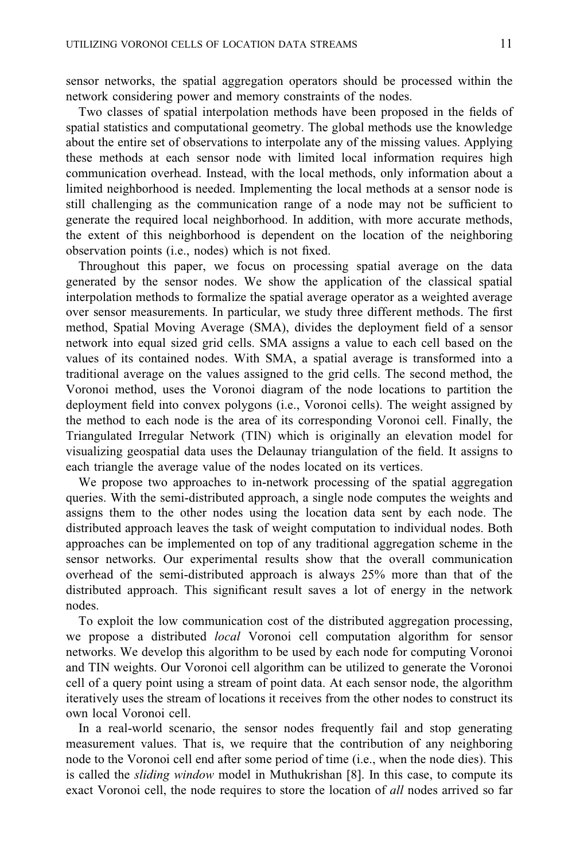sensor networks, the spatial aggregation operators should be processed within the network considering power and memory constraints of the nodes.

Two classes of spatial interpolation methods have been proposed in the fields of spatial statistics and computational geometry. The global methods use the knowledge about the entire set of observations to interpolate any of the missing values. Applying these methods at each sensor node with limited local information requires high communication overhead. Instead, with the local methods, only information about a limited neighborhood is needed. Implementing the local methods at a sensor node is still challenging as the communication range of a node may not be sufficient to generate the required local neighborhood. In addition, with more accurate methods, the extent of this neighborhood is dependent on the location of the neighboring observation points (i.e., nodes) which is not fixed.

Throughout this paper, we focus on processing spatial average on the data generated by the sensor nodes. We show the application of the classical spatial interpolation methods to formalize the spatial average operator as a weighted average over sensor measurements. In particular, we study three different methods. The first method, Spatial Moving Average (SMA), divides the deployment field of a sensor network into equal sized grid cells. SMA assigns a value to each cell based on the values of its contained nodes. With SMA, a spatial average is transformed into a traditional average on the values assigned to the grid cells. The second method, the Voronoi method, uses the Voronoi diagram of the node locations to partition the deployment field into convex polygons (i.e., Voronoi cells). The weight assigned by the method to each node is the area of its corresponding Voronoi cell. Finally, the Triangulated Irregular Network (TIN) which is originally an elevation model for visualizing geospatial data uses the Delaunay triangulation of the field. It assigns to each triangle the average value of the nodes located on its vertices.

We propose two approaches to in-network processing of the spatial aggregation queries. With the semi-distributed approach, a single node computes the weights and assigns them to the other nodes using the location data sent by each node. The distributed approach leaves the task of weight computation to individual nodes. Both approaches can be implemented on top of any traditional aggregation scheme in the sensor networks. Our experimental results show that the overall communication overhead of the semi-distributed approach is always 25% more than that of the distributed approach. This significant result saves a lot of energy in the network nodes.

To exploit the low communication cost of the distributed aggregation processing, we propose a distributed *local* Voronoi cell computation algorithm for sensor networks. We develop this algorithm to be used by each node for computing Voronoi and TIN weights. Our Voronoi cell algorithm can be utilized to generate the Voronoi cell of a query point using a stream of point data. At each sensor node, the algorithm iteratively uses the stream of locations it receives from the other nodes to construct its own local Voronoi cell.

In a real-world scenario, the sensor nodes frequently fail and stop generating measurement values. That is, we require that the contribution of any neighboring node to the Voronoi cell end after some period of time (i.e., when the node dies). This is called the *sliding window* model in Muthukrishan [8]. In this case, to compute its exact Voronoi cell, the node requires to store the location of all nodes arrived so far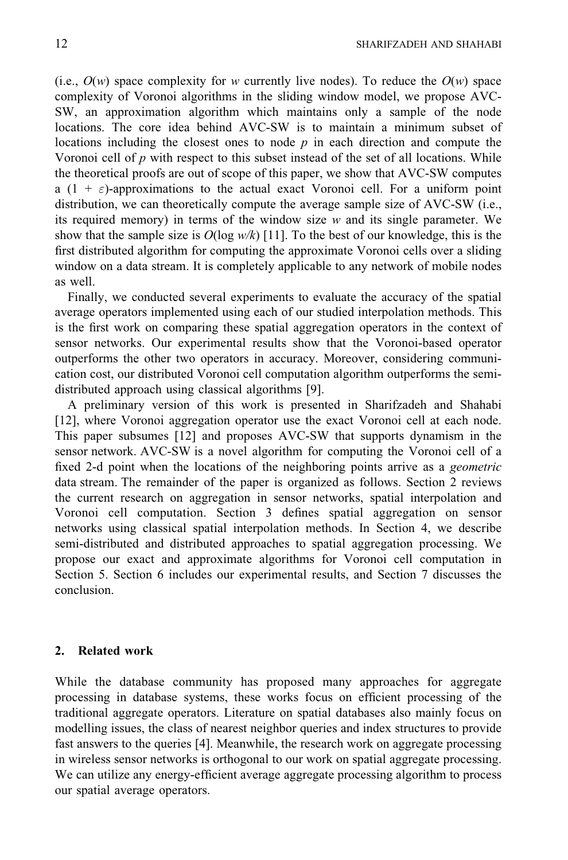(i.e.,  $O(w)$  space complexity for w currently live nodes). To reduce the  $O(w)$  space complexity of Voronoi algorithms in the sliding window model, we propose AVC-SW, an approximation algorithm which maintains only a sample of the node locations. The core idea behind AVC-SW is to maintain a minimum subset of locations including the closest ones to node  $p$  in each direction and compute the Voronoi cell of  $p$  with respect to this subset instead of the set of all locations. While the theoretical proofs are out of scope of this paper, we show that AVC-SW computes a  $(1 + \varepsilon)$ -approximations to the actual exact Voronoi cell. For a uniform point distribution, we can theoretically compute the average sample size of AVC-SW (i.e., its required memory) in terms of the window size  $w$  and its single parameter. We show that the sample size is  $O(\log w/k)$  [11]. To the best of our knowledge, this is the first distributed algorithm for computing the approximate Voronoi cells over a sliding window on a data stream. It is completely applicable to any network of mobile nodes as well.

Finally, we conducted several experiments to evaluate the accuracy of the spatial average operators implemented using each of our studied interpolation methods. This is the first work on comparing these spatial aggregation operators in the context of sensor networks. Our experimental results show that the Voronoi-based operator outperforms the other two operators in accuracy. Moreover, considering communication cost, our distributed Voronoi cell computation algorithm outperforms the semidistributed approach using classical algorithms [9].

A preliminary version of this work is presented in Sharifzadeh and Shahabi [12], where Voronoi aggregation operator use the exact Voronoi cell at each node. This paper subsumes [12] and proposes AVC-SW that supports dynamism in the sensor network. AVC-SW is a novel algorithm for computing the Voronoi cell of a fixed 2-d point when the locations of the neighboring points arrive as a geometric data stream. The remainder of the paper is organized as follows. Section 2 reviews the current research on aggregation in sensor networks, spatial interpolation and Voronoi cell computation. Section 3 defines spatial aggregation on sensor networks using classical spatial interpolation methods. In Section 4, we describe semi-distributed and distributed approaches to spatial aggregation processing. We propose our exact and approximate algorithms for Voronoi cell computation in Section 5. Section 6 includes our experimental results, and Section 7 discusses the conclusion.

#### 2. Related work

While the database community has proposed many approaches for aggregate processing in database systems, these works focus on efficient processing of the traditional aggregate operators. Literature on spatial databases also mainly focus on modelling issues, the class of nearest neighbor queries and index structures to provide fast answers to the queries [4]. Meanwhile, the research work on aggregate processing in wireless sensor networks is orthogonal to our work on spatial aggregate processing. We can utilize any energy-efficient average aggregate processing algorithm to process our spatial average operators.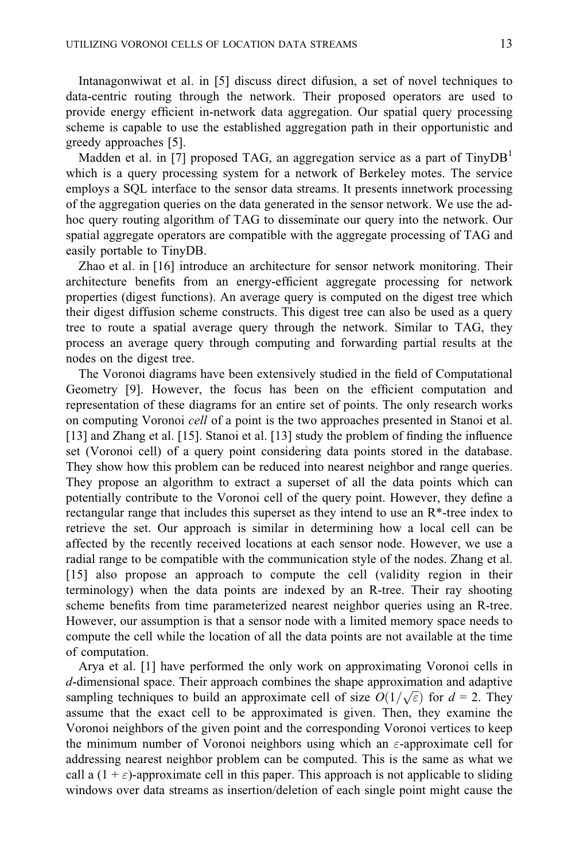Intanagonwiwat et al. in [5] discuss direct difusion, a set of novel techniques to data-centric routing through the network. Their proposed operators are used to provide energy efficient in-network data aggregation. Our spatial query processing scheme is capable to use the established aggregation path in their opportunistic and greedy approaches [5].

Madden et al. in [7] proposed TAG, an aggregation service as a part of  $TinyDB<sup>1</sup>$ which is a query processing system for a network of Berkeley motes. The service employs a SQL interface to the sensor data streams. It presents innetwork processing of the aggregation queries on the data generated in the sensor network. We use the adhoc query routing algorithm of TAG to disseminate our query into the network. Our spatial aggregate operators are compatible with the aggregate processing of TAG and easily portable to TinyDB.

Zhao et al. in [16] introduce an architecture for sensor network monitoring. Their architecture benefits from an energy-efficient aggregate processing for network properties (digest functions). An average query is computed on the digest tree which their digest diffusion scheme constructs. This digest tree can also be used as a query tree to route a spatial average query through the network. Similar to TAG, they process an average query through computing and forwarding partial results at the nodes on the digest tree.

The Voronoi diagrams have been extensively studied in the field of Computational Geometry [9]. However, the focus has been on the efficient computation and representation of these diagrams for an entire set of points. The only research works on computing Voronoi cell of a point is the two approaches presented in Stanoi et al. [13] and Zhang et al. [15]. Stanoi et al. [13] study the problem of finding the influence set (Voronoi cell) of a query point considering data points stored in the database. They show how this problem can be reduced into nearest neighbor and range queries. They propose an algorithm to extract a superset of all the data points which can potentially contribute to the Voronoi cell of the query point. However, they define a rectangular range that includes this superset as they intend to use an  $R^*$ -tree index to retrieve the set. Our approach is similar in determining how a local cell can be affected by the recently received locations at each sensor node. However, we use a radial range to be compatible with the communication style of the nodes. Zhang et al. [15] also propose an approach to compute the cell (validity region in their terminology) when the data points are indexed by an R-tree. Their ray shooting scheme benefits from time parameterized nearest neighbor queries using an R-tree. However, our assumption is that a sensor node with a limited memory space needs to compute the cell while the location of all the data points are not available at the time of computation.

Arya et al. [1] have performed the only work on approximating Voronoi cells in d-dimensional space. Their approach combines the shape approximation and adaptive a-universional space. Then approach combines the shape approximation and adaptive sampling techniques to build an approximate cell of size  $O(1/\sqrt{\epsilon})$  for  $d = 2$ . They assume that the exact cell to be approximated is given. Then, they examine the Voronoi neighbors of the given point and the corresponding Voronoi vertices to keep the minimum number of Voronoi neighbors using which an  $\varepsilon$ -approximate cell for addressing nearest neighbor problem can be computed. This is the same as what we call a  $(1 + \varepsilon)$ -approximate cell in this paper. This approach is not applicable to sliding windows over data streams as insertion/deletion of each single point might cause the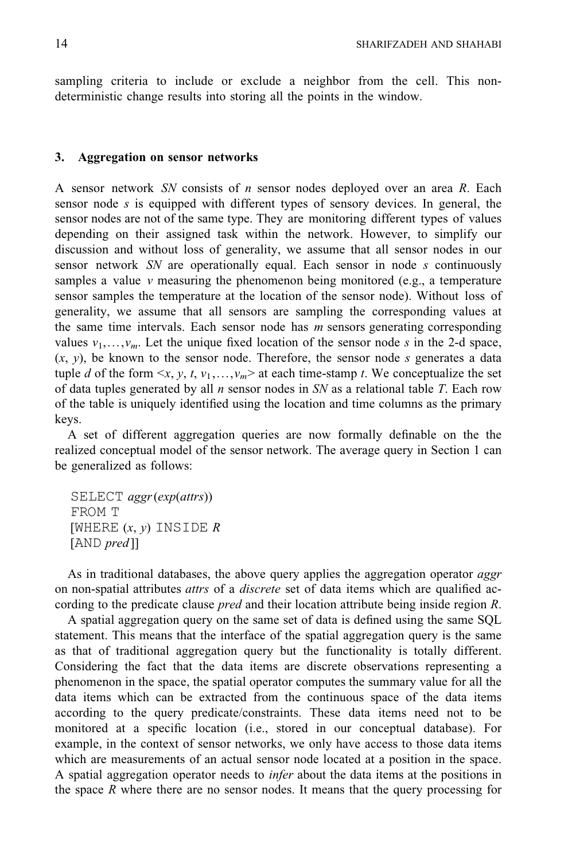sampling criteria to include or exclude a neighbor from the cell. This nondeterministic change results into storing all the points in the window.

#### 3. Aggregation on sensor networks

A sensor network  $SN$  consists of *n* sensor nodes deployed over an area R. Each sensor node s is equipped with different types of sensory devices. In general, the sensor nodes are not of the same type. They are monitoring different types of values depending on their assigned task within the network. However, to simplify our discussion and without loss of generality, we assume that all sensor nodes in our sensor network SN are operationally equal. Each sensor in node s continuously samples a value  $\nu$  measuring the phenomenon being monitored (e.g., a temperature sensor samples the temperature at the location of the sensor node). Without loss of generality, we assume that all sensors are sampling the corresponding values at the same time intervals. Each sensor node has  $m$  sensors generating corresponding values  $v_1, \ldots, v_m$ . Let the unique fixed location of the sensor node s in the 2-d space,  $(x, y)$ , be known to the sensor node. Therefore, the sensor node s generates a data tuple d of the form  $\langle x, y, t, v_1,...,v_m \rangle$  at each time-stamp t. We conceptualize the set of data tuples generated by all *n* sensor nodes in  $SN$  as a relational table T. Each row of the table is uniquely identified using the location and time columns as the primary keys.

A set of different aggregation queries are now formally definable on the the realized conceptual model of the sensor network. The average query in Section 1 can be generalized as follows:

SELECT aggr(exp(attrs)) FROM T [WHERE  $(x, y)$  INSIDE  $R$ [AND *pred*]]

As in traditional databases, the above query applies the aggregation operator aggr on non-spatial attributes *attrs* of a *discrete* set of data items which are qualified according to the predicate clause *pred* and their location attribute being inside region R.

A spatial aggregation query on the same set of data is defined using the same SQL statement. This means that the interface of the spatial aggregation query is the same as that of traditional aggregation query but the functionality is totally different. Considering the fact that the data items are discrete observations representing a phenomenon in the space, the spatial operator computes the summary value for all the data items which can be extracted from the continuous space of the data items according to the query predicate/constraints. These data items need not to be monitored at a specific location (i.e., stored in our conceptual database). For example, in the context of sensor networks, we only have access to those data items which are measurements of an actual sensor node located at a position in the space. A spatial aggregation operator needs to infer about the data items at the positions in the space  *where there are no sensor nodes. It means that the query processing for*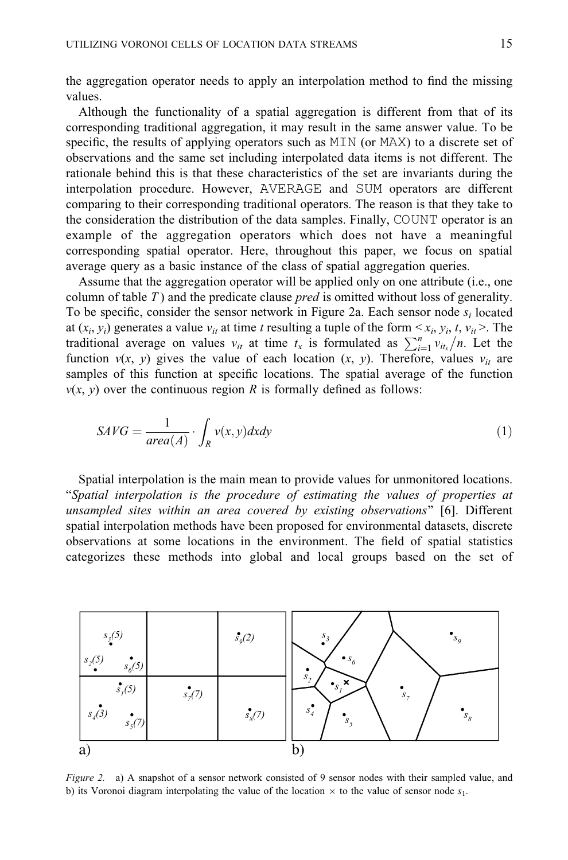the aggregation operator needs to apply an interpolation method to find the missing values.

Although the functionality of a spatial aggregation is different from that of its corresponding traditional aggregation, it may result in the same answer value. To be specific, the results of applying operators such as MIN (or MAX) to a discrete set of observations and the same set including interpolated data items is not different. The rationale behind this is that these characteristics of the set are invariants during the interpolation procedure. However, AVERAGE and SUM operators are different comparing to their corresponding traditional operators. The reason is that they take to the consideration the distribution of the data samples. Finally, COUNT operator is an example of the aggregation operators which does not have a meaningful corresponding spatial operator. Here, throughout this paper, we focus on spatial average query as a basic instance of the class of spatial aggregation queries.

Assume that the aggregation operator will be applied only on one attribute (i.e., one column of table  $T$ ) and the predicate clause *pred* is omitted without loss of generality. To be specific, consider the sensor network in Figure 2a. Each sensor node  $s_i$  located at  $(x_i, y_i)$  generates a value  $v_{it}$  at time t resulting a tuple of the form  $\langle x_i, y_i, t, v_{it} \rangle$ . The traditional average on values  $v_{it}$  at time  $t_x$  is formulated as  $\sum_{i=1}^{n} v_{it_x}/n$ . Let the function  $v(x, y)$  gives the value of each location  $(x, y)$ . Therefore, values  $v_{it}$  are samples of this function at specific locations. The spatial average of the function  $v(x, y)$  over the continuous region R is formally defined as follows:

$$
SAVG = \frac{1}{area(A)} \cdot \int_{R} v(x, y) dx dy
$$
 (1)

Spatial interpolation is the main mean to provide values for unmonitored locations. "Spatial interpolation is the procedure of estimating the values of properties at unsampled sites within an area covered by existing observations^ [6]. Different spatial interpolation methods have been proposed for environmental datasets, discrete observations at some locations in the environment. The field of spatial statistics categorizes these methods into global and local groups based on the set of



Figure 2. a) A snapshot of a sensor network consisted of 9 sensor nodes with their sampled value, and b) its Voronoi diagram interpolating the value of the location  $\times$  to the value of sensor node  $s_1$ .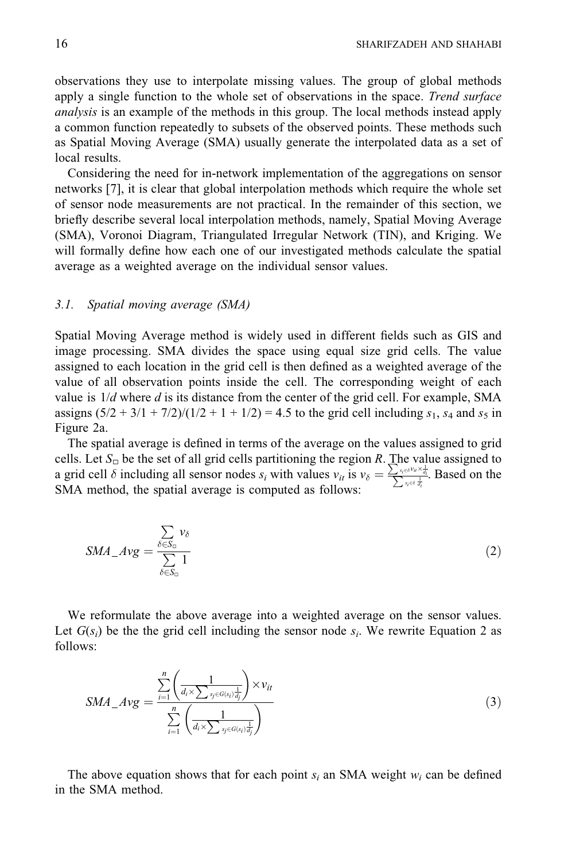observations they use to interpolate missing values. The group of global methods apply a single function to the whole set of observations in the space. Trend surface analysis is an example of the methods in this group. The local methods instead apply a common function repeatedly to subsets of the observed points. These methods such as Spatial Moving Average (SMA) usually generate the interpolated data as a set of local results.

Considering the need for in-network implementation of the aggregations on sensor networks [7], it is clear that global interpolation methods which require the whole set of sensor node measurements are not practical. In the remainder of this section, we briefly describe several local interpolation methods, namely, Spatial Moving Average (SMA), Voronoi Diagram, Triangulated Irregular Network (TIN), and Kriging. We will formally define how each one of our investigated methods calculate the spatial average as a weighted average on the individual sensor values.

## 3.1. Spatial moving average (SMA)

Spatial Moving Average method is widely used in different fields such as GIS and image processing. SMA divides the space using equal size grid cells. The value assigned to each location in the grid cell is then defined as a weighted average of the value of all observation points inside the cell. The corresponding weight of each value is  $1/d$  where  $d$  is its distance from the center of the grid cell. For example, SMA assigns  $(5/2 + 3/1 + 7/2)/(1/2 + 1 + 1/2) = 4.5$  to the grid cell including  $s_1$ ,  $s_4$  and  $s_5$  in Figure 2a.

The spatial average is defined in terms of the average on the values assigned to grid cells. Let  $S_{\square}$  be the set of all grid cells partitioning the region R. The value assigned to cens. Let  $S_{\Box}$  be the set of an grid cens partitioning the region *R*. The value assigned to<br>a grid cell  $\delta$  including all sensor nodes  $s_i$  with values  $v_{it}$  is  $v_{\delta} = \frac{\sum_{s_i \in \delta^n a \times \delta_i}}{\sum_{s_i \in \delta} \frac{1}{a_i}}$ . Based o SMA method, the spatial average is computed as follows:

$$
SMA\_Avg = \frac{\sum_{\delta \in S_{\Box}} \nu_{\delta}}{\sum_{\delta \in S_{\Box}} 1}
$$
 (2)

We reformulate the above average into a weighted average on the sensor values. Let  $G(s_i)$  be the the grid cell including the sensor node  $s_i$ . We rewrite Equation 2 as follows:

$$
SMA\_Avg = \frac{\sum_{i=1}^{n} \left(\frac{1}{d_i \times \sum_{s_j \in G(s_i)} \frac{1}{d_j}}\right) \times v_{it}}{\sum_{i=1}^{n} \left(\frac{1}{d_i \times \sum_{s_j \in G(s_i)} \frac{1}{d_j}}\right)}
$$
(3)

The above equation shows that for each point  $s_i$  an SMA weight  $w_i$  can be defined in the SMA method.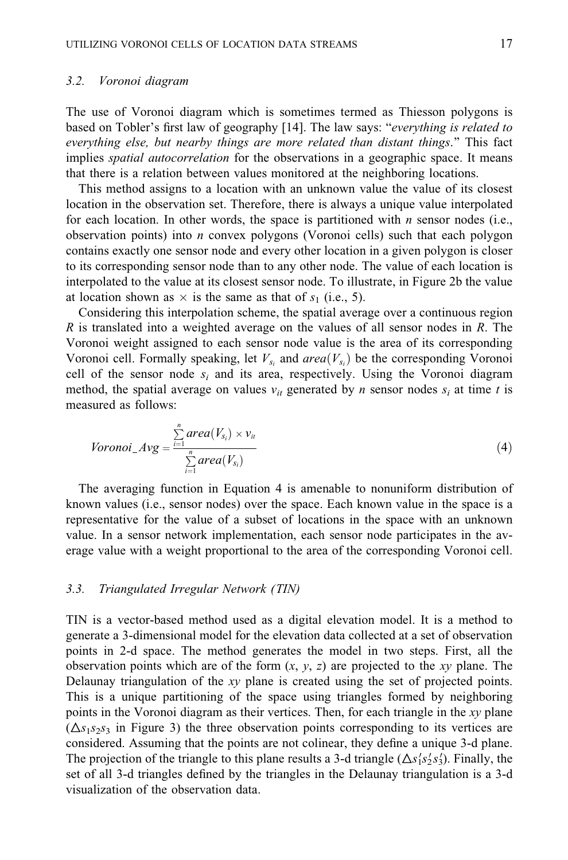### 3.2. Voronoi diagram

The use of Voronoi diagram which is sometimes termed as Thiesson polygons is based on Tobler's first law of geography [14]. The law says: "everything is related to everything else, but nearby things are more related than distant things." This fact implies *spatial autocorrelation* for the observations in a geographic space. It means that there is a relation between values monitored at the neighboring locations.

This method assigns to a location with an unknown value the value of its closest location in the observation set. Therefore, there is always a unique value interpolated for each location. In other words, the space is partitioned with  $n$  sensor nodes (i.e., observation points) into  $n$  convex polygons (Voronoi cells) such that each polygon contains exactly one sensor node and every other location in a given polygon is closer to its corresponding sensor node than to any other node. The value of each location is interpolated to the value at its closest sensor node. To illustrate, in Figure 2b the value at location shown as  $\times$  is the same as that of  $s_1$  (i.e., 5).

Considering this interpolation scheme, the spatial average over a continuous region  $R$  is translated into a weighted average on the values of all sensor nodes in  $R$ . The Voronoi weight assigned to each sensor node value is the area of its corresponding Voronoi cell. Formally speaking, let  $V_{s_i}$  and  $area(V_{s_i})$  be the corresponding Voronoi cell of the sensor node  $s_i$  and its area, respectively. Using the Voronoi diagram method, the spatial average on values  $v_{it}$  generated by *n* sensor nodes  $s_i$  at time *t* is measured as follows:

$$
Voronoi\_Avg = \frac{\sum_{i=1}^{n} area(V_{s_i}) \times v_{it}}{\sum_{i=1}^{n} area(V_{s_i})}
$$
(4)

The averaging function in Equation 4 is amenable to nonuniform distribution of known values (i.e., sensor nodes) over the space. Each known value in the space is a representative for the value of a subset of locations in the space with an unknown value. In a sensor network implementation, each sensor node participates in the average value with a weight proportional to the area of the corresponding Voronoi cell.

## 3.3. Triangulated Irregular Network (TIN)

TIN is a vector-based method used as a digital elevation model. It is a method to generate a 3-dimensional model for the elevation data collected at a set of observation points in 2-d space. The method generates the model in two steps. First, all the observation points which are of the form  $(x, y, z)$  are projected to the xy plane. The Delaunay triangulation of the xy plane is created using the set of projected points. This is a unique partitioning of the space using triangles formed by neighboring points in the Voronoi diagram as their vertices. Then, for each triangle in the xy plane  $(\Delta s_1 s_2 s_3$  in Figure 3) the three observation points corresponding to its vertices are considered. Assuming that the points are not colinear, they define a unique 3-d plane. The projection of the triangle to this plane results a 3-d triangle  $(\Delta s_1's_2's_3')$ . Finally, the set of all 3-d triangles defined by the triangles in the Delaunay triangulation is a 3-d visualization of the observation data.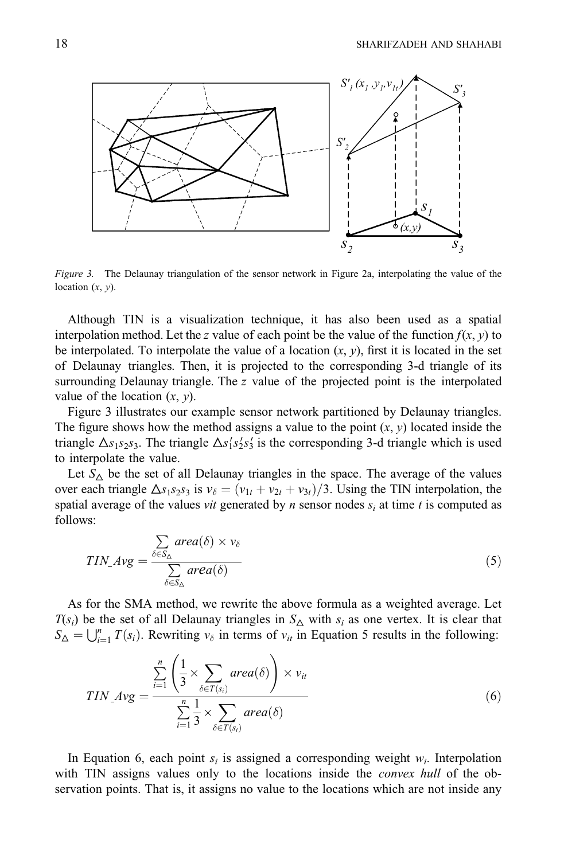

Figure 3. The Delaunay triangulation of the sensor network in Figure 2a, interpolating the value of the location  $(x, y)$ .

Although TIN is a visualization technique, it has also been used as a spatial interpolation method. Let the z value of each point be the value of the function  $f(x, y)$  to be interpolated. To interpolate the value of a location  $(x, y)$ , first it is located in the set of Delaunay triangles. Then, it is projected to the corresponding 3-d triangle of its surrounding Delaunay triangle. The z value of the projected point is the interpolated value of the location  $(x, y)$ .

Figure 3 illustrates our example sensor network partitioned by Delaunay triangles. The figure shows how the method assigns a value to the point  $(x, y)$  located inside the triangle  $\Delta s_1 s_2 s_3$ . The triangle  $\Delta s_1's_2's_3'$  is the corresponding 3-d triangle which is used to interpolate the value.

Let  $S_{\Lambda}$  be the set of all Delaunay triangles in the space. The average of the values over each triangle  $\Delta s_1 s_2 s_3$  is  $v_\delta = (v_{1t} + v_{2t} + v_{3t})/3$ . Using the TIN interpolation, the spatial average of the values *vit* generated by *n* sensor nodes  $s_i$  at time *t* is computed as follows:

$$
TIN\_\text{Avg} = \frac{\sum\limits_{\delta \in S_{\Delta}} area(\delta) \times v_{\delta}}{\sum\limits_{\delta \in S_{\Delta}} area(\delta)} \tag{5}
$$

As for the SMA method, we rewrite the above formula as a weighted average. Let  $T(s_i)$  be the set of all Delaunay triangles in  $S_\Delta$  with  $s_i$  as one vertex. It is clear that  $S_{\Delta} = \bigcup_{i=1}^{n} T(s_i)$ . Rewriting  $v_{\delta}$  in terms of  $v_{it}$  in Equation 5 results in the following:

$$
TIN \_\text{Avg} = \frac{\sum\limits_{i=1}^n \left( \frac{1}{3} \times \sum\limits_{\delta \in T(s_i)} area(\delta) \right) \times v_{it}}{\sum\limits_{i=1}^n \frac{1}{3} \times \sum\limits_{\delta \in T(s_i)} area(\delta)} \tag{6}
$$

In Equation 6, each point  $s_i$  is assigned a corresponding weight  $w_i$ . Interpolation with TIN assigns values only to the locations inside the *convex hull* of the observation points. That is, it assigns no value to the locations which are not inside any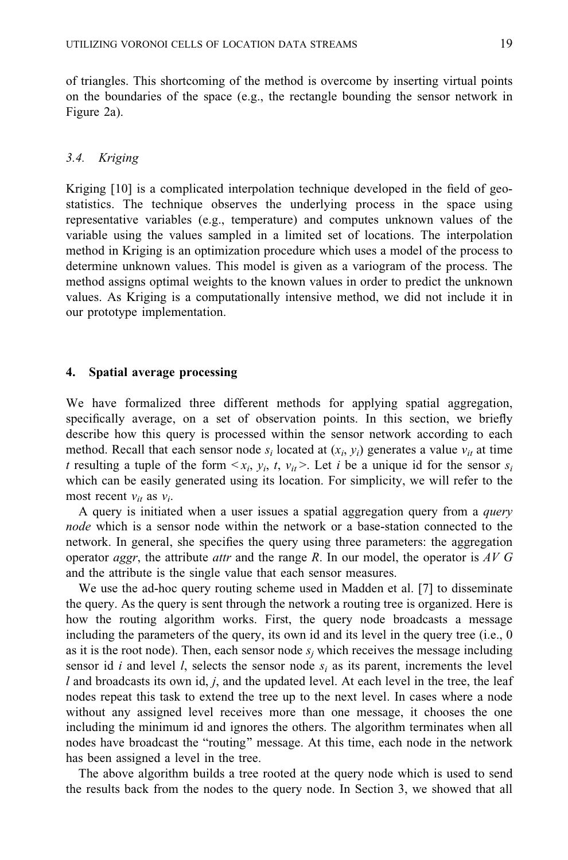of triangles. This shortcoming of the method is overcome by inserting virtual points on the boundaries of the space (e.g., the rectangle bounding the sensor network in Figure 2a).

#### 3.4. Kriging

Kriging [10] is a complicated interpolation technique developed in the field of geostatistics. The technique observes the underlying process in the space using representative variables (e.g., temperature) and computes unknown values of the variable using the values sampled in a limited set of locations. The interpolation method in Kriging is an optimization procedure which uses a model of the process to determine unknown values. This model is given as a variogram of the process. The method assigns optimal weights to the known values in order to predict the unknown values. As Kriging is a computationally intensive method, we did not include it in our prototype implementation.

#### 4. Spatial average processing

We have formalized three different methods for applying spatial aggregation, specifically average, on a set of observation points. In this section, we briefly describe how this query is processed within the sensor network according to each method. Recall that each sensor node  $s_i$  located at  $(x_i, y_i)$  generates a value  $v_i$  at time t resulting a tuple of the form  $\langle x_i, y_i, t, v_{ii} \rangle$ . Let i be a unique id for the sensor  $s_i$ which can be easily generated using its location. For simplicity, we will refer to the most recent  $v_{it}$  as  $v_i$ .

A query is initiated when a user issues a spatial aggregation query from a query node which is a sensor node within the network or a base-station connected to the network. In general, she specifies the query using three parameters: the aggregation operator *aggr*, the attribute *attr* and the range R. In our model, the operator is  $AVG$ and the attribute is the single value that each sensor measures.

We use the ad-hoc query routing scheme used in Madden et al. [7] to disseminate the query. As the query is sent through the network a routing tree is organized. Here is how the routing algorithm works. First, the query node broadcasts a message including the parameters of the query, its own id and its level in the query tree (i.e., 0 as it is the root node). Then, each sensor node  $s_i$  which receives the message including sensor id i and level l, selects the sensor node  $s_i$  as its parent, increments the level l and broadcasts its own id,  $i$ , and the updated level. At each level in the tree, the leaf nodes repeat this task to extend the tree up to the next level. In cases where a node without any assigned level receives more than one message, it chooses the one including the minimum id and ignores the others. The algorithm terminates when all nodes have broadcast the "routing" message. At this time, each node in the network has been assigned a level in the tree.

The above algorithm builds a tree rooted at the query node which is used to send the results back from the nodes to the query node. In Section 3, we showed that all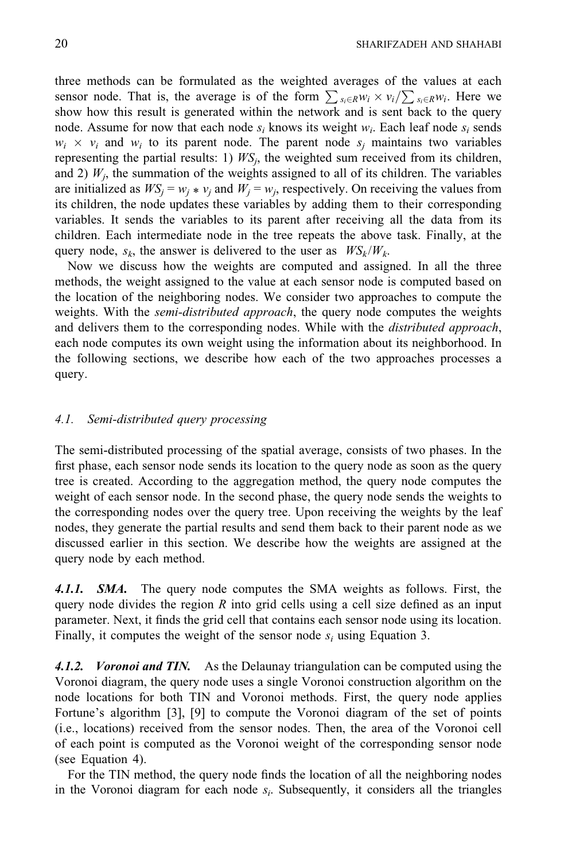three methods can be formulated as the weighted averages of the values at each sensor node. That is, the average is of the form  $\sum_{s_i \in R} w_i \times v_i / \sum_{s_i \in R} w_i$ . Here we show how this result is generated within the network and is sent back to the query node. Assume for now that each node  $s_i$  knows its weight  $w_i$ . Each leaf node  $s_i$  sends  $w_i \times v_i$  and  $w_i$  to its parent node. The parent node  $s_j$  maintains two variables representing the partial results: 1)  $WS<sub>i</sub>$ , the weighted sum received from its children, and 2)  $W_i$ , the summation of the weights assigned to all of its children. The variables are initialized as  $WS_i = w_i * v_i$  and  $W_i = w_i$ , respectively. On receiving the values from its children, the node updates these variables by adding them to their corresponding variables. It sends the variables to its parent after receiving all the data from its children. Each intermediate node in the tree repeats the above task. Finally, at the query node,  $s_k$ , the answer is delivered to the user as  $WS_k/W_k$ .

Now we discuss how the weights are computed and assigned. In all the three methods, the weight assigned to the value at each sensor node is computed based on the location of the neighboring nodes. We consider two approaches to compute the weights. With the *semi-distributed approach*, the query node computes the weights and delivers them to the corresponding nodes. While with the *distributed approach*, each node computes its own weight using the information about its neighborhood. In the following sections, we describe how each of the two approaches processes a query.

#### 4.1. Semi-distributed query processing

The semi-distributed processing of the spatial average, consists of two phases. In the first phase, each sensor node sends its location to the query node as soon as the query tree is created. According to the aggregation method, the query node computes the weight of each sensor node. In the second phase, the query node sends the weights to the corresponding nodes over the query tree. Upon receiving the weights by the leaf nodes, they generate the partial results and send them back to their parent node as we discussed earlier in this section. We describe how the weights are assigned at the query node by each method.

4.1.1. SMA. The query node computes the SMA weights as follows. First, the query node divides the region  $R$  into grid cells using a cell size defined as an input parameter. Next, it finds the grid cell that contains each sensor node using its location. Finally, it computes the weight of the sensor node  $s_i$  using Equation 3.

4.1.2. Voronoi and TIN. As the Delaunay triangulation can be computed using the Voronoi diagram, the query node uses a single Voronoi construction algorithm on the node locations for both TIN and Voronoi methods. First, the query node applies Fortune's algorithm [3], [9] to compute the Voronoi diagram of the set of points (i.e., locations) received from the sensor nodes. Then, the area of the Voronoi cell of each point is computed as the Voronoi weight of the corresponding sensor node (see Equation 4).

For the TIN method, the query node finds the location of all the neighboring nodes in the Voronoi diagram for each node  $s_i$ . Subsequently, it considers all the triangles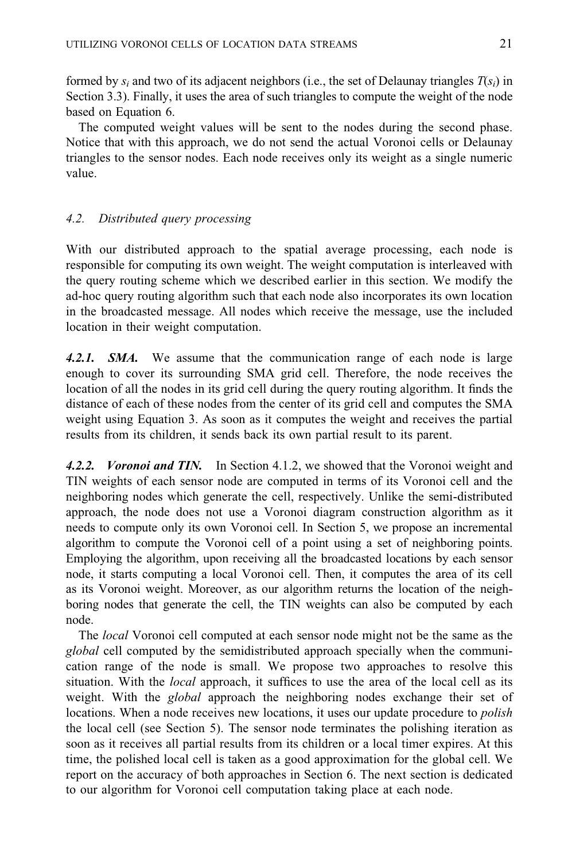formed by  $s_i$  and two of its adjacent neighbors (i.e., the set of Delaunay triangles  $T(s_i)$  in Section 3.3). Finally, it uses the area of such triangles to compute the weight of the node based on Equation 6.

The computed weight values will be sent to the nodes during the second phase. Notice that with this approach, we do not send the actual Voronoi cells or Delaunay triangles to the sensor nodes. Each node receives only its weight as a single numeric value.

## 4.2. Distributed query processing

With our distributed approach to the spatial average processing, each node is responsible for computing its own weight. The weight computation is interleaved with the query routing scheme which we described earlier in this section. We modify the ad-hoc query routing algorithm such that each node also incorporates its own location in the broadcasted message. All nodes which receive the message, use the included location in their weight computation.

4.2.1. SMA. We assume that the communication range of each node is large enough to cover its surrounding SMA grid cell. Therefore, the node receives the location of all the nodes in its grid cell during the query routing algorithm. It finds the distance of each of these nodes from the center of its grid cell and computes the SMA weight using Equation 3. As soon as it computes the weight and receives the partial results from its children, it sends back its own partial result to its parent.

4.2.2. *Voronoi and TIN*. In Section 4.1.2, we showed that the Voronoi weight and TIN weights of each sensor node are computed in terms of its Voronoi cell and the neighboring nodes which generate the cell, respectively. Unlike the semi-distributed approach, the node does not use a Voronoi diagram construction algorithm as it needs to compute only its own Voronoi cell. In Section 5, we propose an incremental algorithm to compute the Voronoi cell of a point using a set of neighboring points. Employing the algorithm, upon receiving all the broadcasted locations by each sensor node, it starts computing a local Voronoi cell. Then, it computes the area of its cell as its Voronoi weight. Moreover, as our algorithm returns the location of the neighboring nodes that generate the cell, the TIN weights can also be computed by each node.

The local Voronoi cell computed at each sensor node might not be the same as the global cell computed by the semidistributed approach specially when the communication range of the node is small. We propose two approaches to resolve this situation. With the *local* approach, it suffices to use the area of the local cell as its weight. With the global approach the neighboring nodes exchange their set of locations. When a node receives new locations, it uses our update procedure to *polish* the local cell (see Section 5). The sensor node terminates the polishing iteration as soon as it receives all partial results from its children or a local timer expires. At this time, the polished local cell is taken as a good approximation for the global cell. We report on the accuracy of both approaches in Section 6. The next section is dedicated to our algorithm for Voronoi cell computation taking place at each node.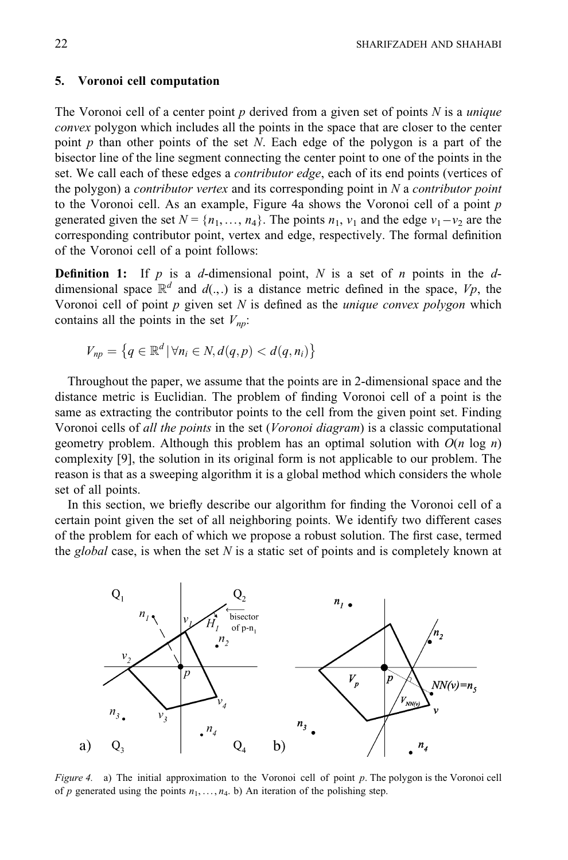## 5. Voronoi cell computation

The Voronoi cell of a center point  $p$  derived from a given set of points  $N$  is a *unique* convex polygon which includes all the points in the space that are closer to the center point  $p$  than other points of the set  $N$ . Each edge of the polygon is a part of the bisector line of the line segment connecting the center point to one of the points in the set. We call each of these edges a *contributor edge*, each of its end points (vertices of the polygon) a *contributor vertex* and its corresponding point in  $N$  a *contributor point* to the Voronoi cell. As an example, Figure 4a shows the Voronoi cell of a point  $p$ generated given the set  $N = \{n_1, ..., n_4\}$ . The points  $n_1, v_1$  and the edge  $v_1 - v_2$  are the corresponding contributor point, vertex and edge, respectively. The formal definition of the Voronoi cell of a point follows:

**Definition 1:** If p is a d-dimensional point, N is a set of n points in the ddimensional space  $\mathbb{R}^d$  and  $d(...)$  is a distance metric defined in the space,  $V_p$ , the Voronoi cell of point p given set N is defined as the *unique convex polygon* which contains all the points in the set  $V_{nn}$ :

$$
V_{np} = \left\{ q \in \mathbb{R}^d \, | \, \forall n_i \in N, d(q, p) < d(q, n_i) \right\}
$$

Throughout the paper, we assume that the points are in 2-dimensional space and the distance metric is Euclidian. The problem of finding Voronoi cell of a point is the same as extracting the contributor points to the cell from the given point set. Finding Voronoi cells of all the points in the set (Voronoi diagram) is a classic computational geometry problem. Although this problem has an optimal solution with  $O(n \log n)$ complexity [9], the solution in its original form is not applicable to our problem. The reason is that as a sweeping algorithm it is a global method which considers the whole set of all points.

In this section, we briefly describe our algorithm for finding the Voronoi cell of a certain point given the set of all neighboring points. We identify two different cases of the problem for each of which we propose a robust solution. The first case, termed the *global* case, is when the set N is a static set of points and is completely known at



Figure 4. a) The initial approximation to the Voronoi cell of point p. The polygon is the Voronoi cell of p generated using the points  $n_1, \ldots, n_4$ . b) An iteration of the polishing step.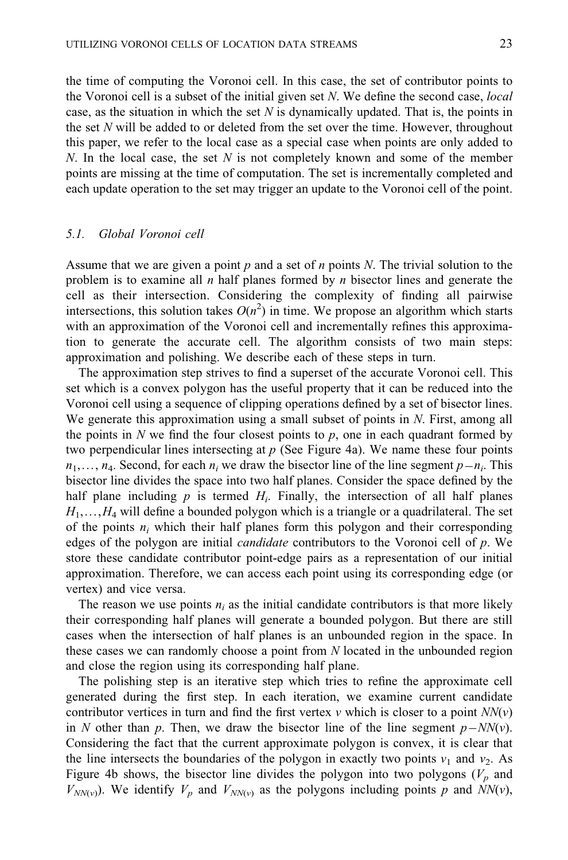the time of computing the Voronoi cell. In this case, the set of contributor points to the Voronoi cell is a subset of the initial given set  $N$ . We define the second case, *local* case, as the situation in which the set  $N$  is dynamically updated. That is, the points in the set  $N$  will be added to or deleted from the set over the time. However, throughout this paper, we refer to the local case as a special case when points are only added to  $N$ . In the local case, the set  $N$  is not completely known and some of the member points are missing at the time of computation. The set is incrementally completed and each update operation to the set may trigger an update to the Voronoi cell of the point.

#### 5.1. Global Voronoi cell

Assume that we are given a point  $p$  and a set of  $n$  points  $N$ . The trivial solution to the problem is to examine all  $n$  half planes formed by  $n$  bisector lines and generate the cell as their intersection. Considering the complexity of finding all pairwise intersections, this solution takes  $O(n^2)$  in time. We propose an algorithm which starts with an approximation of the Voronoi cell and incrementally refines this approximation to generate the accurate cell. The algorithm consists of two main steps: approximation and polishing. We describe each of these steps in turn.

The approximation step strives to find a superset of the accurate Voronoi cell. This set which is a convex polygon has the useful property that it can be reduced into the Voronoi cell using a sequence of clipping operations defined by a set of bisector lines. We generate this approximation using a small subset of points in  $N$ . First, among all the points in  $N$  we find the four closest points to  $p$ , one in each quadrant formed by two perpendicular lines intersecting at  $p$  (See Figure 4a). We name these four points  $n_1, \ldots, n_4$ . Second, for each  $n_i$  we draw the bisector line of the line segment  $p-n_i$ . This bisector line divides the space into two half planes. Consider the space defined by the half plane including p is termed  $H_i$ . Finally, the intersection of all half planes  $H_1, \ldots, H_4$  will define a bounded polygon which is a triangle or a quadrilateral. The set of the points  $n_i$  which their half planes form this polygon and their corresponding edges of the polygon are initial *candidate* contributors to the Voronoi cell of  $p$ . We store these candidate contributor point-edge pairs as a representation of our initial approximation. Therefore, we can access each point using its corresponding edge (or vertex) and vice versa.

The reason we use points  $n_i$  as the initial candidate contributors is that more likely their corresponding half planes will generate a bounded polygon. But there are still cases when the intersection of half planes is an unbounded region in the space. In these cases we can randomly choose a point from  $N$  located in the unbounded region and close the region using its corresponding half plane.

The polishing step is an iterative step which tries to refine the approximate cell generated during the first step. In each iteration, we examine current candidate contributor vertices in turn and find the first vertex v which is closer to a point  $NN(v)$ in N other than p. Then, we draw the bisector line of the line segment  $p-NN(v)$ . Considering the fact that the current approximate polygon is convex, it is clear that the line intersects the boundaries of the polygon in exactly two points  $v_1$  and  $v_2$ . As Figure 4b shows, the bisector line divides the polygon into two polygons  $(V_p$  and  $V_{NN(\nu)}$ ). We identify  $V_p$  and  $V_{NN(\nu)}$  as the polygons including points p and  $NN(\nu)$ ,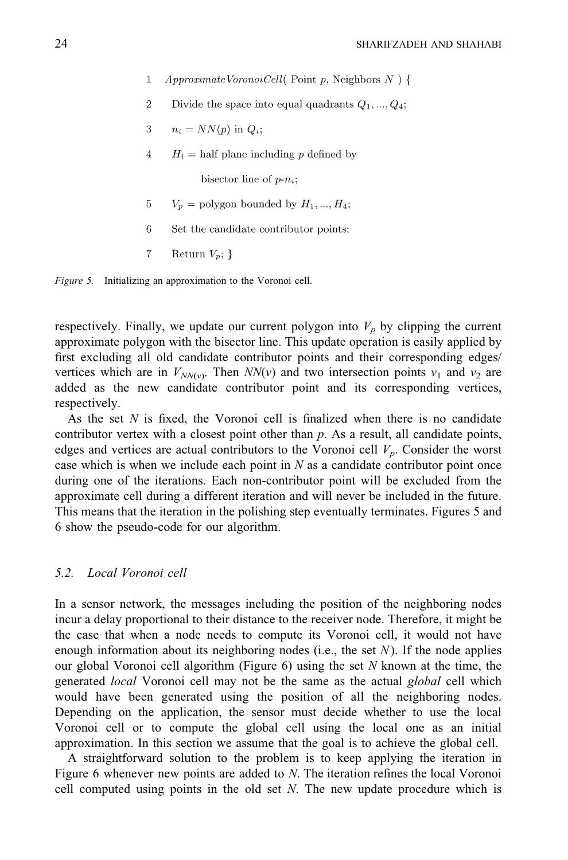- $\mathbf{1}$  $Approximate VoronoiCell$  (Point p, Neighbors N) {
- $\overline{2}$ Divide the space into equal quadrants  $Q_1, ..., Q_4$ ;

$$
3 \qquad n_i = NN(p) \text{ in } Q_i;
$$

 $\overline{4}$  $H_i =$  half plane including p defined by

bisector line of  $p-n_i$ ;

- $\mathbf 5$  $V_p$  = polygon bounded by  $H_1, ..., H_4$ ;
- 6 Set the candidate contributor points;
- Return  $V_p$ ; }  $\overline{7}$

Figure 5. Initializing an approximation to the Voronoi cell.

respectively. Finally, we update our current polygon into  $V_p$  by clipping the current approximate polygon with the bisector line. This update operation is easily applied by first excluding all old candidate contributor points and their corresponding edges/ vertices which are in  $V_{NN(v)}$ . Then  $NN(v)$  and two intersection points  $v_1$  and  $v_2$  are added as the new candidate contributor point and its corresponding vertices, respectively.

As the set  $N$  is fixed, the Voronoi cell is finalized when there is no candidate contributor vertex with a closest point other than  $p$ . As a result, all candidate points, edges and vertices are actual contributors to the Voronoi cell  $V_p$ . Consider the worst case which is when we include each point in  $N$  as a candidate contributor point once during one of the iterations. Each non-contributor point will be excluded from the approximate cell during a different iteration and will never be included in the future. This means that the iteration in the polishing step eventually terminates. Figures 5 and 6 show the pseudo-code for our algorithm.

#### 5.2. Local Voronoi cell

In a sensor network, the messages including the position of the neighboring nodes incur a delay proportional to their distance to the receiver node. Therefore, it might be the case that when a node needs to compute its Voronoi cell, it would not have enough information about its neighboring nodes (i.e., the set  $N$ ). If the node applies our global Voronoi cell algorithm (Figure 6) using the set  $N$  known at the time, the generated *local* Voronoi cell may not be the same as the actual *global* cell which would have been generated using the position of all the neighboring nodes. Depending on the application, the sensor must decide whether to use the local Voronoi cell or to compute the global cell using the local one as an initial approximation. In this section we assume that the goal is to achieve the global cell.

A straightforward solution to the problem is to keep applying the iteration in Figure 6 whenever new points are added to N. The iteration refines the local Voronoi cell computed using points in the old set N. The new update procedure which is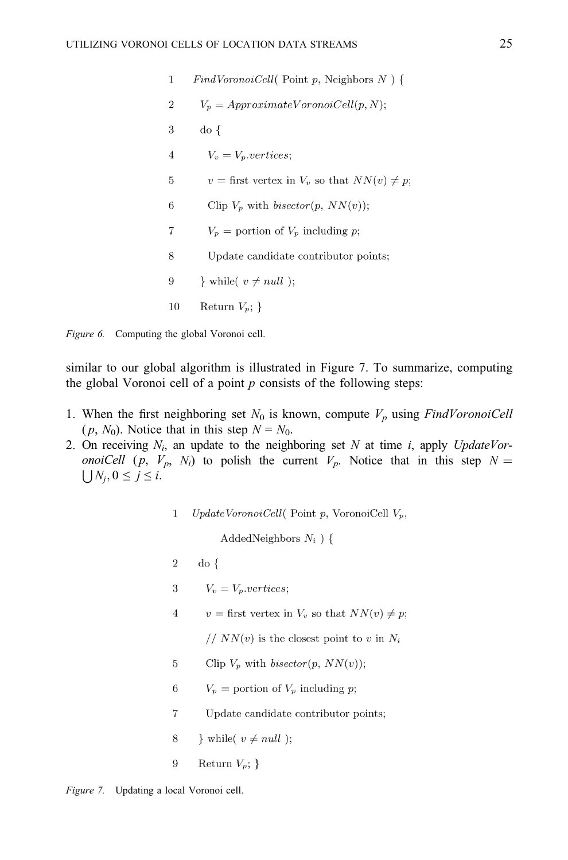| 1                | $Find VoronoiCell$ (Point p, Neighbors N) {        |
|------------------|----------------------------------------------------|
| $\boldsymbol{2}$ | $V_p = ApproximateV or onoiCell(p, N);$            |
| 3                | $\text{do}$ {                                      |
| 4                | $V_v = V_n \text{.} vertices;$                     |
| 5                | $v =$ first vertex in $V_v$ so that $NN(v) \neq p$ |
| 6                | Clip $V_p$ with <i>bisector</i> (p, $NN(v)$ );     |
| 7                | $V_p =$ portion of $V_p$ including p;              |
| 8                | Update candidate contributor points;               |
| 9                | while $v \neq null$ ;                              |
| 10               | Return $V_p$ ; }                                   |

Figure 6. Computing the global Voronoi cell.

similar to our global algorithm is illustrated in Figure 7. To summarize, computing the global Voronoi cell of a point  $p$  consists of the following steps:

- 1. When the first neighboring set  $N_0$  is known, compute  $V_p$  using FindVoronoiCell  $(p, N_0)$ . Notice that in this step  $N = N_0$ .
- 2. On receiving  $N_i$ , an update to the neighboring set N at time i, apply UpdateVor*onoiCell*  $(p, V_p, N_i)$  to polish the current  $V_p$ . Notice that in this step  $N = \bigcup N_i, 0 \le j \le i$ .

 $\mathbf{1}$ Update VoronoiCell(Point p, VoronoiCell  $V_n$ ,

AddedNeighbors  $N_i$ ) {

 $d\sigma$  {  $\overline{2}$ 

 $V_r = V_n \cdot vertices$  $\overline{3}$ 

 $\overline{4}$  $v =$  first vertex in  $V_v$  so that  $NN(v) \neq p$ ;

//  $NN(v)$  is the closest point to v in  $N_i$ 

 $5\,$ Clip  $V_p$  with *bisector*(p,  $NN(v)$ );

6  $V_p =$  portion of  $V_p$  including p;

- $\overline{7}$ Update candidate contributor points;
- } while( $v \neq null$ );  $8\,$
- Return  $V_p$ ; }  $\boldsymbol{9}$

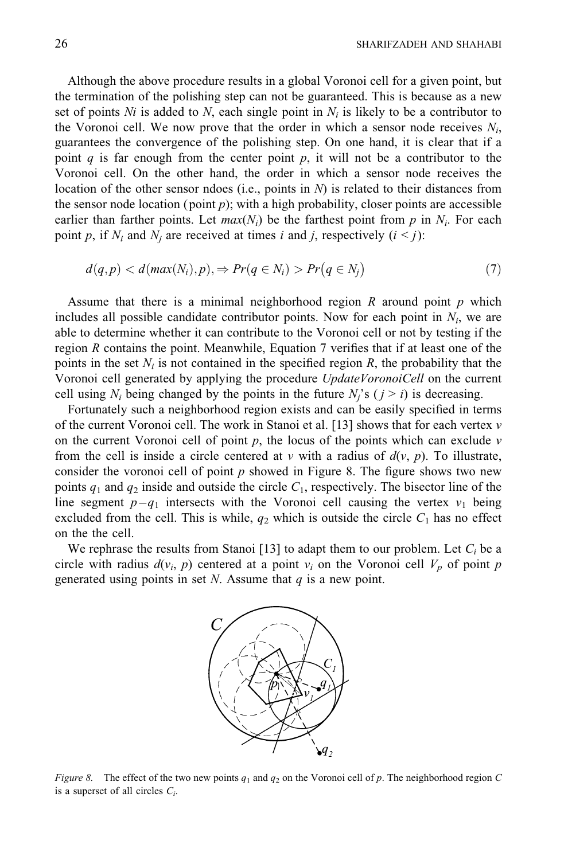Although the above procedure results in a global Voronoi cell for a given point, but the termination of the polishing step can not be guaranteed. This is because as a new set of points Ni is added to N, each single point in  $N_i$  is likely to be a contributor to the Voronoi cell. We now prove that the order in which a sensor node receives  $N_i$ , guarantees the convergence of the polishing step. On one hand, it is clear that if a point q is far enough from the center point  $p$ , it will not be a contributor to the Voronoi cell. On the other hand, the order in which a sensor node receives the location of the other sensor ndoes (i.e., points in N) is related to their distances from the sensor node location (point  $p$ ); with a high probability, closer points are accessible earlier than farther points. Let  $max(N_i)$  be the farthest point from p in  $N_i$ . For each point p, if  $N_i$  and  $N_j$  are received at times i and j, respectively  $(i \le j)$ :

$$
d(q, p) < d(max(N_i), p), \Rightarrow Pr(q \in N_i) > Pr(q \in N_j) \tag{7}
$$

Assume that there is a minimal neighborhood region  $R$  around point  $p$  which includes all possible candidate contributor points. Now for each point in  $N_i$ , we are able to determine whether it can contribute to the Voronoi cell or not by testing if the region R contains the point. Meanwhile, Equation 7 verifies that if at least one of the points in the set  $N_i$  is not contained in the specified region R, the probability that the Voronoi cell generated by applying the procedure UpdateVoronoiCell on the current cell using  $N_i$  being changed by the points in the future  $N_i$ 's ( $j > i$ ) is decreasing.

Fortunately such a neighborhood region exists and can be easily specified in terms of the current Voronoi cell. The work in Stanoi et al. [13] shows that for each vertex  $\nu$ on the current Voronoi cell of point  $p$ , the locus of the points which can exclude  $v$ from the cell is inside a circle centered at v with a radius of  $d(v, p)$ . To illustrate, consider the voronoi cell of point  $p$  showed in Figure 8. The figure shows two new points  $q_1$  and  $q_2$  inside and outside the circle  $C_1$ , respectively. The bisector line of the line segment  $p-q_1$  intersects with the Voronoi cell causing the vertex  $v_1$  being excluded from the cell. This is while,  $q_2$  which is outside the circle  $C_1$  has no effect on the the cell.

We rephrase the results from Stanoi [13] to adapt them to our problem. Let  $C_i$  be a circle with radius  $d(v_i, p)$  centered at a point  $v_i$  on the Voronoi cell  $V_p$  of point p generated using points in set N. Assume that  $q$  is a new point.



Figure 8. The effect of the two new points  $q_1$  and  $q_2$  on the Voronoi cell of p. The neighborhood region C is a superset of all circles  $C_i$ .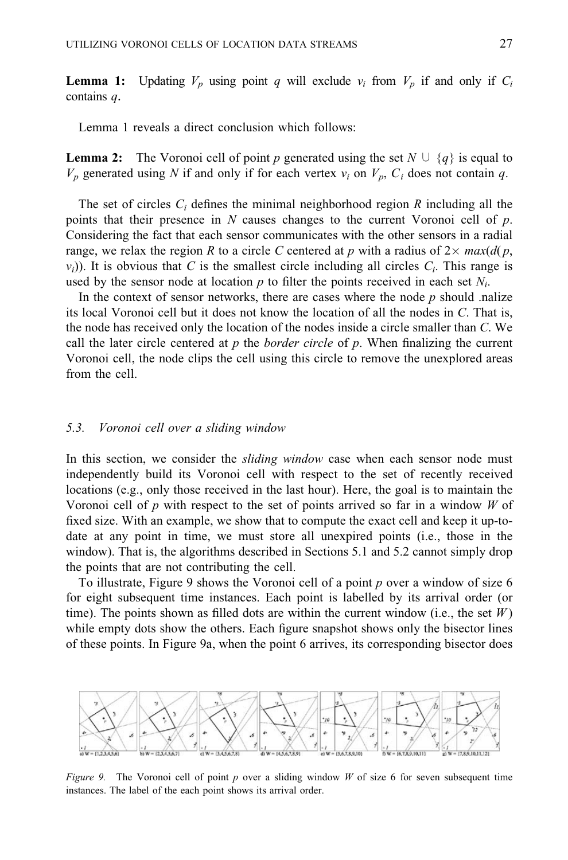**Lemma 1:** Updating  $V_p$  using point q will exclude  $v_i$  from  $V_p$  if and only if  $C_i$ contains q.

Lemma 1 reveals a direct conclusion which follows:

**Lemma 2:** The Voronoi cell of point p generated using the set  $N \cup \{q\}$  is equal to  $V_p$  generated using N if and only if for each vertex  $v_i$  on  $V_p$ ,  $C_i$  does not contain q.

The set of circles  $C_i$  defines the minimal neighborhood region R including all the points that their presence in  $N$  causes changes to the current Voronoi cell of  $p$ . Considering the fact that each sensor communicates with the other sensors in a radial range, we relax the region R to a circle C centered at p with a radius of  $2 \times max(d(p,$  $(v_i)$ ). It is obvious that C is the smallest circle including all circles  $C_i$ . This range is used by the sensor node at location  $p$  to filter the points received in each set  $N_i$ .

In the context of sensor networks, there are cases where the node  $p$  should .nalize its local Voronoi cell but it does not know the location of all the nodes in  $C$ . That is, the node has received only the location of the nodes inside a circle smaller than C. We call the later circle centered at  $p$  the *border circle* of  $p$ . When finalizing the current Voronoi cell, the node clips the cell using this circle to remove the unexplored areas from the cell.

## 5.3. Voronoi cell over a sliding window

In this section, we consider the *sliding window* case when each sensor node must independently build its Voronoi cell with respect to the set of recently received locations (e.g., only those received in the last hour). Here, the goal is to maintain the Voronoi cell of  $p$  with respect to the set of points arrived so far in a window  $W$  of fixed size. With an example, we show that to compute the exact cell and keep it up-todate at any point in time, we must store all unexpired points (i.e., those in the window). That is, the algorithms described in Sections 5.1 and 5.2 cannot simply drop the points that are not contributing the cell.

To illustrate, Figure 9 shows the Voronoi cell of a point  $p$  over a window of size 6 for eight subsequent time instances. Each point is labelled by its arrival order (or time). The points shown as filled dots are within the current window (i.e., the set  $W$ ) while empty dots show the others. Each figure snapshot shows only the bisector lines of these points. In Figure 9a, when the point 6 arrives, its corresponding bisector does



Figure 9. The Voronoi cell of point  $p$  over a sliding window  $W$  of size 6 for seven subsequent time instances. The label of the each point shows its arrival order.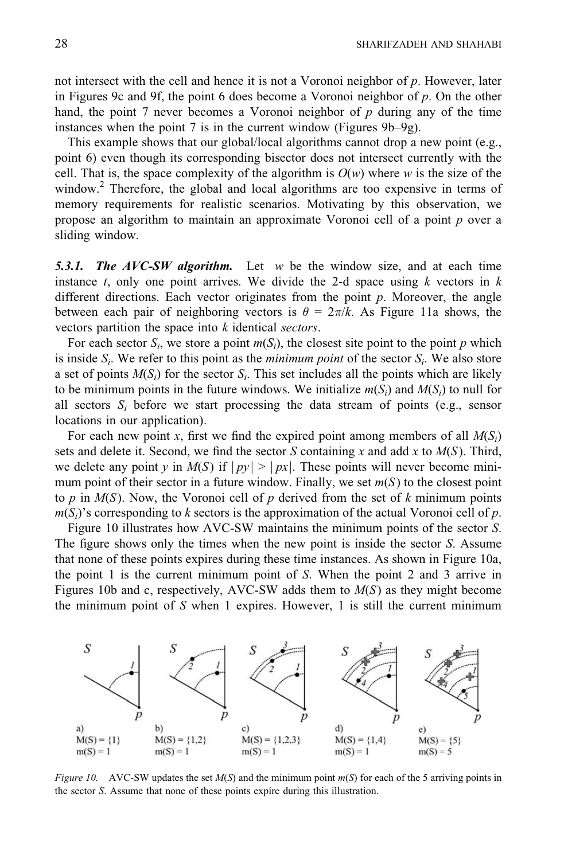not intersect with the cell and hence it is not a Voronoi neighbor of  $p$ . However, later in Figures 9c and 9f, the point 6 does become a Voronoi neighbor of  $p$ . On the other hand, the point 7 never becomes a Voronoi neighbor of p during any of the time instances when the point 7 is in the current window (Figures  $9b-9g$ ).

This example shows that our global/local algorithms cannot drop a new point (e.g., point 6) even though its corresponding bisector does not intersect currently with the cell. That is, the space complexity of the algorithm is  $O(w)$  where w is the size of the window.<sup>2</sup> Therefore, the global and local algorithms are too expensive in terms of memory requirements for realistic scenarios. Motivating by this observation, we propose an algorithm to maintain an approximate Voronoi cell of a point p over a sliding window.

5.3.1. The AVC-SW algorithm. Let w be the window size, and at each time instance t, only one point arrives. We divide the 2-d space using  $k$  vectors in  $k$ different directions. Each vector originates from the point  $p$ . Moreover, the angle between each pair of neighboring vectors is  $\theta = 2\pi/k$ . As Figure 11a shows, the vectors partition the space into  $k$  identical sectors.

For each sector  $S_i$ , we store a point  $m(S_i)$ , the closest site point to the point p which is inside  $S_i$ . We refer to this point as the *minimum point* of the sector  $S_i$ . We also store a set of points  $M(S_i)$  for the sector  $S_i$ . This set includes all the points which are likely to be minimum points in the future windows. We initialize  $m(S_i)$  and  $M(S_i)$  to null for all sectors  $S_i$  before we start processing the data stream of points (e.g., sensor locations in our application).

For each new point x, first we find the expired point among members of all  $M(S_i)$ sets and delete it. Second, we find the sector S containing x and add x to  $M(S)$ . Third, we delete any point y in  $M(S)$  if  $|py| > |px|$ . These points will never become minimum point of their sector in a future window. Finally, we set  $m(S)$  to the closest point to p in  $M(S)$ . Now, the Voronoi cell of p derived from the set of k minimum points  $m(S_i)$ 's corresponding to k sectors is the approximation of the actual Voronoi cell of p.

Figure 10 illustrates how AVC-SW maintains the minimum points of the sector S. The figure shows only the times when the new point is inside the sector S. Assume that none of these points expires during these time instances. As shown in Figure 10a, the point 1 is the current minimum point of S. When the point 2 and 3 arrive in Figures 10b and c, respectively, AVC-SW adds them to  $M(S)$  as they might become the minimum point of S when 1 expires. However, 1 is still the current minimum



Figure 10. AVC-SW updates the set  $M(S)$  and the minimum point  $m(S)$  for each of the 5 arriving points in the sector S. Assume that none of these points expire during this illustration.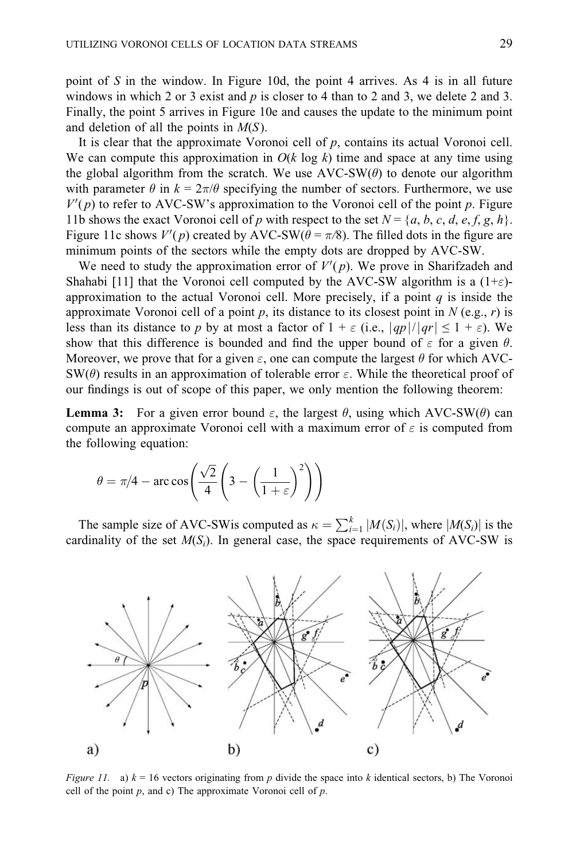point of S in the window. In Figure 10d, the point 4 arrives. As 4 is in all future windows in which 2 or 3 exist and  $p$  is closer to 4 than to 2 and 3, we delete 2 and 3. Finally, the point 5 arrives in Figure 10e and causes the update to the minimum point and deletion of all the points in  $M(S)$ .

It is clear that the approximate Voronoi cell of  $p$ , contains its actual Voronoi cell. We can compute this approximation in  $O(k \log k)$  time and space at any time using the global algorithm from the scratch. We use  $AVC-SW(\theta)$  to denote our algorithm with parameter  $\theta$  in  $k = 2\pi/\theta$  specifying the number of sectors. Furthermore, we use  $V'(p)$  to refer to AVC-SW's approximation to the Voronoi cell of the point p. Figure 11b shows the exact Voronoi cell of p with respect to the set  $N = \{a, b, c, d, e, f, g, h\}$ . Figure 11c shows  $V'(p)$  created by AVC-SW( $\theta = \pi/8$ ). The filled dots in the figure are minimum points of the sectors while the empty dots are dropped by AVC-SW.

We need to study the approximation error of  $V'(p)$ . We prove in Sharifzadeh and Shahabi [11] that the Voronoi cell computed by the AVC-SW algorithm is a  $(1+\varepsilon)$ approximation to the actual Voronoi cell. More precisely, if a point  $q$  is inside the approximate Voronoi cell of a point p, its distance to its closest point in  $N$  (e.g., r) is less than its distance to p by at most a factor of  $1 + \varepsilon$  (i.e.,  $|qp|/|qr| \leq 1 + \varepsilon$ ). We show that this difference is bounded and find the upper bound of  $\varepsilon$  for a given  $\theta$ . Moreover, we prove that for a given  $\varepsilon$ , one can compute the largest  $\theta$  for which AVC-SW( $\theta$ ) results in an approximation of tolerable error  $\varepsilon$ . While the theoretical proof of our findings is out of scope of this paper, we only mention the following theorem:

**Lemma 3:** For a given error bound  $\varepsilon$ , the largest  $\theta$ , using which AVC-SW( $\theta$ ) can compute an approximate Voronoi cell with a maximum error of  $\varepsilon$  is computed from the following equation:

$$
\theta = \pi/4 - \arccos\left(\frac{\sqrt{2}}{4}\left(3 - \left(\frac{1}{1+\varepsilon}\right)^2\right)\right)
$$

The sample size of AVC-SWis computed as  $\kappa = \sum_{i=1}^{k} |M(S_i)|$ , where  $|M(S_i)|$  is the cardinality of the set  $M(S_i)$ . In general case, the space requirements of AVC-SW is



Figure 11. a)  $k = 16$  vectors originating from p divide the space into k identical sectors, b) The Voronoi cell of the point  $p$ , and c) The approximate Voronoi cell of  $p$ .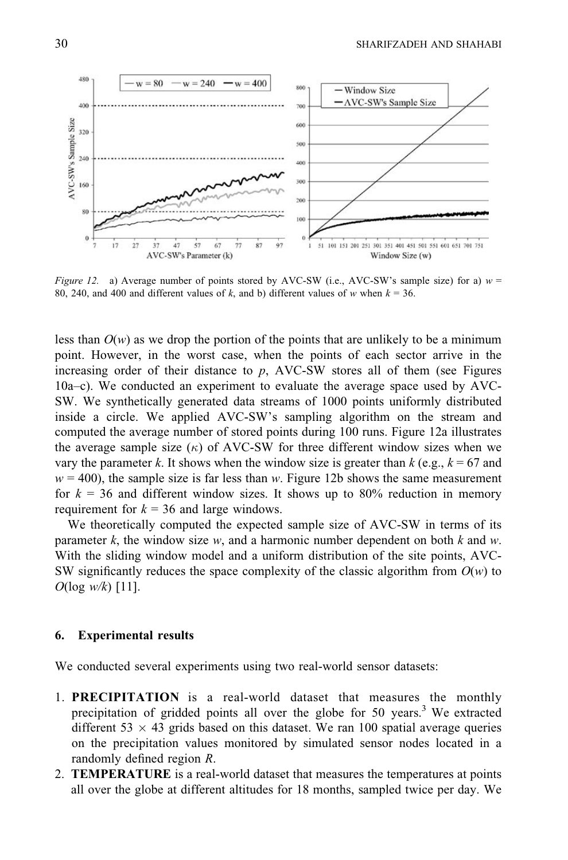

Figure 12. a) Average number of points stored by AVC-SW (i.e., AVC-SW's sample size) for a)  $w =$ 80, 240, and 400 and different values of k, and b) different values of w when  $k = 36$ .

less than  $O(w)$  as we drop the portion of the points that are unlikely to be a minimum point. However, in the worst case, when the points of each sector arrive in the increasing order of their distance to  $p$ , AVC-SW stores all of them (see Figures  $10a-c$ ). We conducted an experiment to evaluate the average space used by AVC-SW. We synthetically generated data streams of 1000 points uniformly distributed inside a circle. We applied AVC-SW's sampling algorithm on the stream and computed the average number of stored points during 100 runs. Figure 12a illustrates the average sample size  $(\kappa)$  of AVC-SW for three different window sizes when we vary the parameter k. It shows when the window size is greater than  $k$  (e.g.,  $k = 67$  and  $w = 400$ ), the sample size is far less than w. Figure 12b shows the same measurement for  $k = 36$  and different window sizes. It shows up to 80% reduction in memory requirement for  $k = 36$  and large windows.

We theoretically computed the expected sample size of AVC-SW in terms of its parameter k, the window size w, and a harmonic number dependent on both k and w. With the sliding window model and a uniform distribution of the site points, AVC-SW significantly reduces the space complexity of the classic algorithm from  $O(w)$  to  $O(\log w/k)$  [11].

#### 6. Experimental results

We conducted several experiments using two real-world sensor datasets:

- 1. PRECIPITATION is a real-world dataset that measures the monthly precipitation of gridded points all over the globe for 50 years.<sup>3</sup> We extracted different 53  $\times$  43 grids based on this dataset. We ran 100 spatial average queries on the precipitation values monitored by simulated sensor nodes located in a randomly defined region R.
- 2. **TEMPERATURE** is a real-world dataset that measures the temperatures at points all over the globe at different altitudes for 18 months, sampled twice per day. We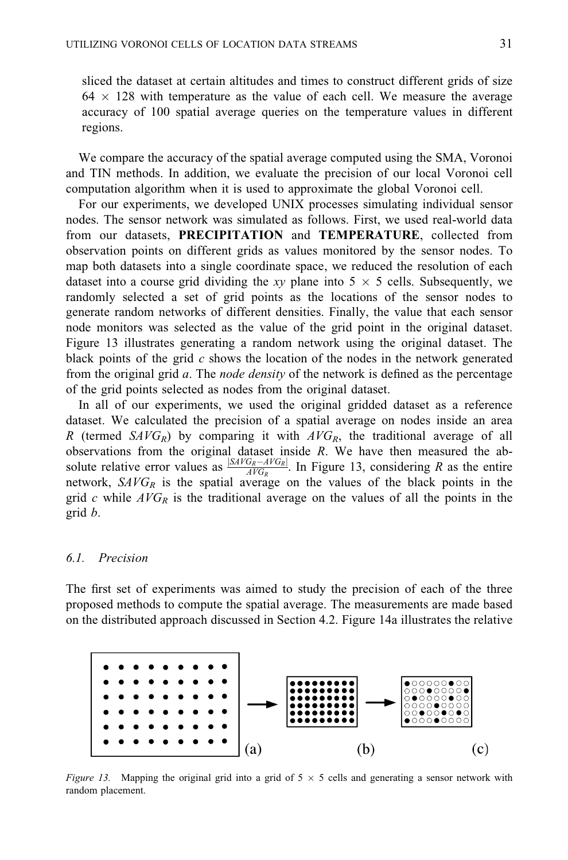sliced the dataset at certain altitudes and times to construct different grids of size  $64 \times 128$  with temperature as the value of each cell. We measure the average accuracy of 100 spatial average queries on the temperature values in different regions.

We compare the accuracy of the spatial average computed using the SMA, Voronoi and TIN methods. In addition, we evaluate the precision of our local Voronoi cell computation algorithm when it is used to approximate the global Voronoi cell.

For our experiments, we developed UNIX processes simulating individual sensor nodes. The sensor network was simulated as follows. First, we used real-world data from our datasets, PRECIPITATION and TEMPERATURE, collected from observation points on different grids as values monitored by the sensor nodes. To map both datasets into a single coordinate space, we reduced the resolution of each dataset into a course grid dividing the xy plane into  $5 \times 5$  cells. Subsequently, we randomly selected a set of grid points as the locations of the sensor nodes to generate random networks of different densities. Finally, the value that each sensor node monitors was selected as the value of the grid point in the original dataset. Figure 13 illustrates generating a random network using the original dataset. The black points of the grid  $c$  shows the location of the nodes in the network generated from the original grid a. The *node density* of the network is defined as the percentage of the grid points selected as nodes from the original dataset.

In all of our experiments, we used the original gridded dataset as a reference dataset. We calculated the precision of a spatial average on nodes inside an area R (termed  $SAVG_R$ ) by comparing it with  $AVG_R$ , the traditional average of all observations from the original dataset inside  $R$ . We have then measured the absolute relative error values as  $\frac{|SAVG_R - AVG_R|}{AVG_R}$ . In Figure 13, considering R as the entire network,  $SAVG_R$  is the spatial average on the values of the black points in the grid c while  $AVG_R$  is the traditional average on the values of all the points in the grid b.

## 6.1. Precision

The first set of experiments was aimed to study the precision of each of the three proposed methods to compute the spatial average. The measurements are made based on the distributed approach discussed in Section 4.2. Figure 14a illustrates the relative



Figure 13. Mapping the original grid into a grid of  $5 \times 5$  cells and generating a sensor network with random placement.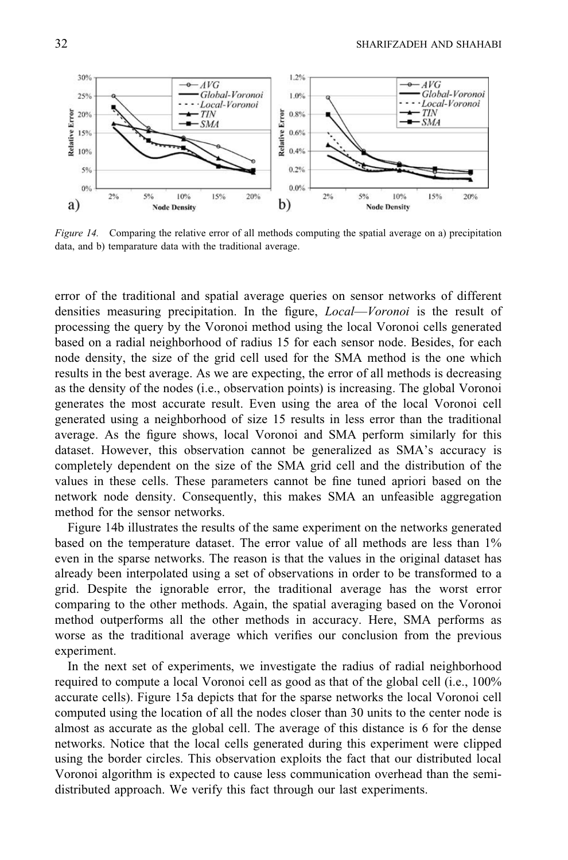

Figure 14. Comparing the relative error of all methods computing the spatial average on a) precipitation data, and b) temparature data with the traditional average.

error of the traditional and spatial average queries on sensor networks of different densities measuring precipitation. In the figure, *Local—Voronoi* is the result of processing the query by the Voronoi method using the local Voronoi cells generated based on a radial neighborhood of radius 15 for each sensor node. Besides, for each node density, the size of the grid cell used for the SMA method is the one which results in the best average. As we are expecting, the error of all methods is decreasing as the density of the nodes (i.e., observation points) is increasing. The global Voronoi generates the most accurate result. Even using the area of the local Voronoi cell generated using a neighborhood of size 15 results in less error than the traditional average. As the figure shows, local Voronoi and SMA perform similarly for this dataset. However, this observation cannot be generalized as SMA's accuracy is completely dependent on the size of the SMA grid cell and the distribution of the values in these cells. These parameters cannot be fine tuned apriori based on the network node density. Consequently, this makes SMA an unfeasible aggregation method for the sensor networks.

Figure 14b illustrates the results of the same experiment on the networks generated based on the temperature dataset. The error value of all methods are less than 1% even in the sparse networks. The reason is that the values in the original dataset has already been interpolated using a set of observations in order to be transformed to a grid. Despite the ignorable error, the traditional average has the worst error comparing to the other methods. Again, the spatial averaging based on the Voronoi method outperforms all the other methods in accuracy. Here, SMA performs as worse as the traditional average which verifies our conclusion from the previous experiment.

In the next set of experiments, we investigate the radius of radial neighborhood required to compute a local Voronoi cell as good as that of the global cell (i.e., 100% accurate cells). Figure 15a depicts that for the sparse networks the local Voronoi cell computed using the location of all the nodes closer than 30 units to the center node is almost as accurate as the global cell. The average of this distance is 6 for the dense networks. Notice that the local cells generated during this experiment were clipped using the border circles. This observation exploits the fact that our distributed local Voronoi algorithm is expected to cause less communication overhead than the semidistributed approach. We verify this fact through our last experiments.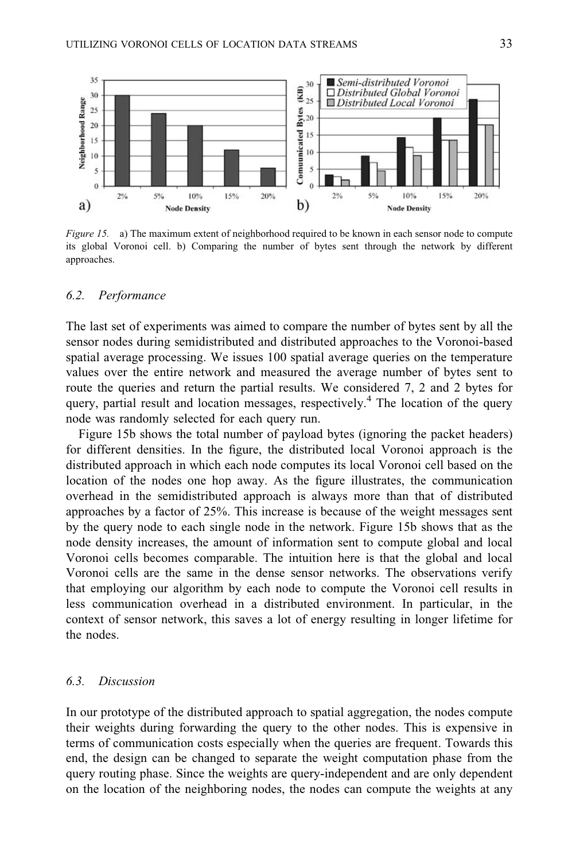

Figure 15. a) The maximum extent of neighborhood required to be known in each sensor node to compute its global Voronoi cell. b) Comparing the number of bytes sent through the network by different approaches.

## 6.2. Performance

The last set of experiments was aimed to compare the number of bytes sent by all the sensor nodes during semidistributed and distributed approaches to the Voronoi-based spatial average processing. We issues 100 spatial average queries on the temperature values over the entire network and measured the average number of bytes sent to route the queries and return the partial results. We considered 7, 2 and 2 bytes for query, partial result and location messages, respectively.<sup>4</sup> The location of the query node was randomly selected for each query run.

Figure 15b shows the total number of payload bytes (ignoring the packet headers) for different densities. In the figure, the distributed local Voronoi approach is the distributed approach in which each node computes its local Voronoi cell based on the location of the nodes one hop away. As the figure illustrates, the communication overhead in the semidistributed approach is always more than that of distributed approaches by a factor of 25%. This increase is because of the weight messages sent by the query node to each single node in the network. Figure 15b shows that as the node density increases, the amount of information sent to compute global and local Voronoi cells becomes comparable. The intuition here is that the global and local Voronoi cells are the same in the dense sensor networks. The observations verify that employing our algorithm by each node to compute the Voronoi cell results in less communication overhead in a distributed environment. In particular, in the context of sensor network, this saves a lot of energy resulting in longer lifetime for the nodes.

## 6.3. Discussion

In our prototype of the distributed approach to spatial aggregation, the nodes compute their weights during forwarding the query to the other nodes. This is expensive in terms of communication costs especially when the queries are frequent. Towards this end, the design can be changed to separate the weight computation phase from the query routing phase. Since the weights are query-independent and are only dependent on the location of the neighboring nodes, the nodes can compute the weights at any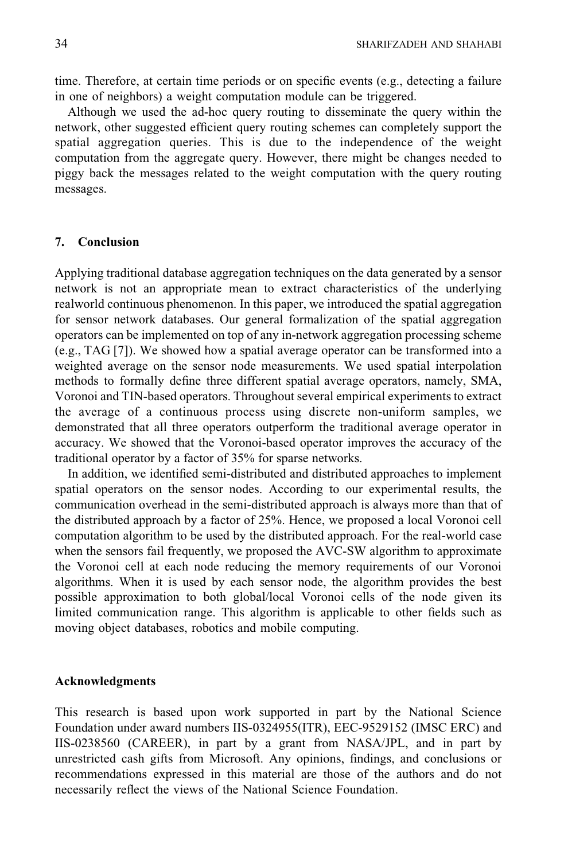time. Therefore, at certain time periods or on specific events (e.g., detecting a failure in one of neighbors) a weight computation module can be triggered.

Although we used the ad-hoc query routing to disseminate the query within the network, other suggested efficient query routing schemes can completely support the spatial aggregation queries. This is due to the independence of the weight computation from the aggregate query. However, there might be changes needed to piggy back the messages related to the weight computation with the query routing messages.

## 7. Conclusion

Applying traditional database aggregation techniques on the data generated by a sensor network is not an appropriate mean to extract characteristics of the underlying realworld continuous phenomenon. In this paper, we introduced the spatial aggregation for sensor network databases. Our general formalization of the spatial aggregation operators can be implemented on top of any in-network aggregation processing scheme (e.g., TAG [7]). We showed how a spatial average operator can be transformed into a weighted average on the sensor node measurements. We used spatial interpolation methods to formally define three different spatial average operators, namely, SMA, Voronoi and TIN-based operators. Throughout several empirical experiments to extract the average of a continuous process using discrete non-uniform samples, we demonstrated that all three operators outperform the traditional average operator in accuracy. We showed that the Voronoi-based operator improves the accuracy of the traditional operator by a factor of 35% for sparse networks.

In addition, we identified semi-distributed and distributed approaches to implement spatial operators on the sensor nodes. According to our experimental results, the communication overhead in the semi-distributed approach is always more than that of the distributed approach by a factor of 25%. Hence, we proposed a local Voronoi cell computation algorithm to be used by the distributed approach. For the real-world case when the sensors fail frequently, we proposed the AVC-SW algorithm to approximate the Voronoi cell at each node reducing the memory requirements of our Voronoi algorithms. When it is used by each sensor node, the algorithm provides the best possible approximation to both global/local Voronoi cells of the node given its limited communication range. This algorithm is applicable to other fields such as moving object databases, robotics and mobile computing.

#### Acknowledgments

This research is based upon work supported in part by the National Science Foundation under award numbers IIS-0324955(ITR), EEC-9529152 (IMSC ERC) and IIS-0238560 (CAREER), in part by a grant from NASA/JPL, and in part by unrestricted cash gifts from Microsoft. Any opinions, findings, and conclusions or recommendations expressed in this material are those of the authors and do not necessarily reflect the views of the National Science Foundation.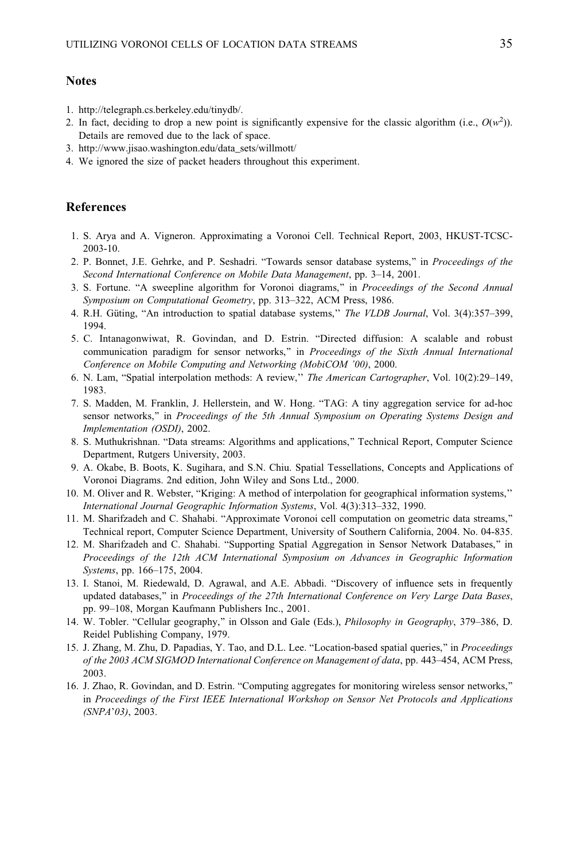#### **Notes**

- 1. http://telegraph.cs.berkeley.edu/tinydb/.
- 2. In fact, deciding to drop a new point is significantly expensive for the classic algorithm (i.e.,  $O(w^2)$ ). Details are removed due to the lack of space.
- 3. http://www.jisao.washington.edu/data\_sets/willmott/
- 4. We ignored the size of packet headers throughout this experiment.

#### References

- 1. S. Arya and A. Vigneron. Approximating a Voronoi Cell. Technical Report, 2003, HKUST-TCSC-2003-10.
- 2. P. Bonnet, J.E. Gehrke, and P. Seshadri. "Towards sensor database systems," in Proceedings of the Second International Conference on Mobile Data Management, pp. 3–14, 2001.
- 3. S. Fortune. "A sweepline algorithm for Voronoi diagrams," in Proceedings of the Second Annual Symposium on Computational Geometry, pp. 313-322, ACM Press, 1986.
- 4. R.H. Güting, "An introduction to spatial database systems," The VLDB Journal, Vol. 3(4):357-399, 1994.
- 5. C. Intanagonwiwat, R. Govindan, and D. Estrin. "Directed diffusion: A scalable and robust communication paradigm for sensor networks," in *Proceedings of the Sixth Annual International* Conference on Mobile Computing and Networking (MobiCOM '00), 2000.
- 6. N. Lam, "Spatial interpolation methods: A review," The American Cartographer, Vol. 10(2):29-149, 1983.
- 7. S. Madden, M. Franklin, J. Hellerstein, and W. Hong. "TAG: A tiny aggregation service for ad-hoc sensor networks," in Proceedings of the 5th Annual Symposium on Operating Systems Design and Implementation (OSDI), 2002.
- 8. S. Muthukrishnan. "Data streams: Algorithms and applications," Technical Report, Computer Science Department, Rutgers University, 2003.
- 9. A. Okabe, B. Boots, K. Sugihara, and S.N. Chiu. Spatial Tessellations, Concepts and Applications of Voronoi Diagrams. 2nd edition, John Wiley and Sons Ltd., 2000.
- 10. M. Oliver and R. Webster, "Kriging: A method of interpolation for geographical information systems," International Journal Geographic Information Systems, Vol. 4(3):313-332, 1990.
- 11. M. Sharifzadeh and C. Shahabi. "Approximate Voronoi cell computation on geometric data streams," Technical report, Computer Science Department, University of Southern California, 2004. No. 04-835.
- 12. M. Sharifzadeh and C. Shahabi. "Supporting Spatial Aggregation in Sensor Network Databases," in Proceedings of the 12th ACM International Symposium on Advances in Geographic Information Systems, pp. 166-175, 2004.
- 13. I. Stanoi, M. Riedewald, D. Agrawal, and A.E. Abbadi. "Discovery of influence sets in frequently updated databases," in Proceedings of the 27th International Conference on Very Large Data Bases, pp. 99-108, Morgan Kaufmann Publishers Inc., 2001.
- 14. W. Tobler. "Cellular geography," in Olsson and Gale (Eds.), Philosophy in Geography, 379-386, D. Reidel Publishing Company, 1979.
- 15. J. Zhang, M. Zhu, D. Papadias, Y. Tao, and D.L. Lee. "Location-based spatial queries," in *Proceedings* of the 2003 ACM SIGMOD International Conference on Management of data, pp. 443-454, ACM Press, 2003.
- 16. J. Zhao, R. Govindan, and D. Estrin. "Computing aggregates for monitoring wireless sensor networks," in Proceedings of the First IEEE International Workshop on Sensor Net Protocols and Applications  $(SNPA'03)$ , 2003.